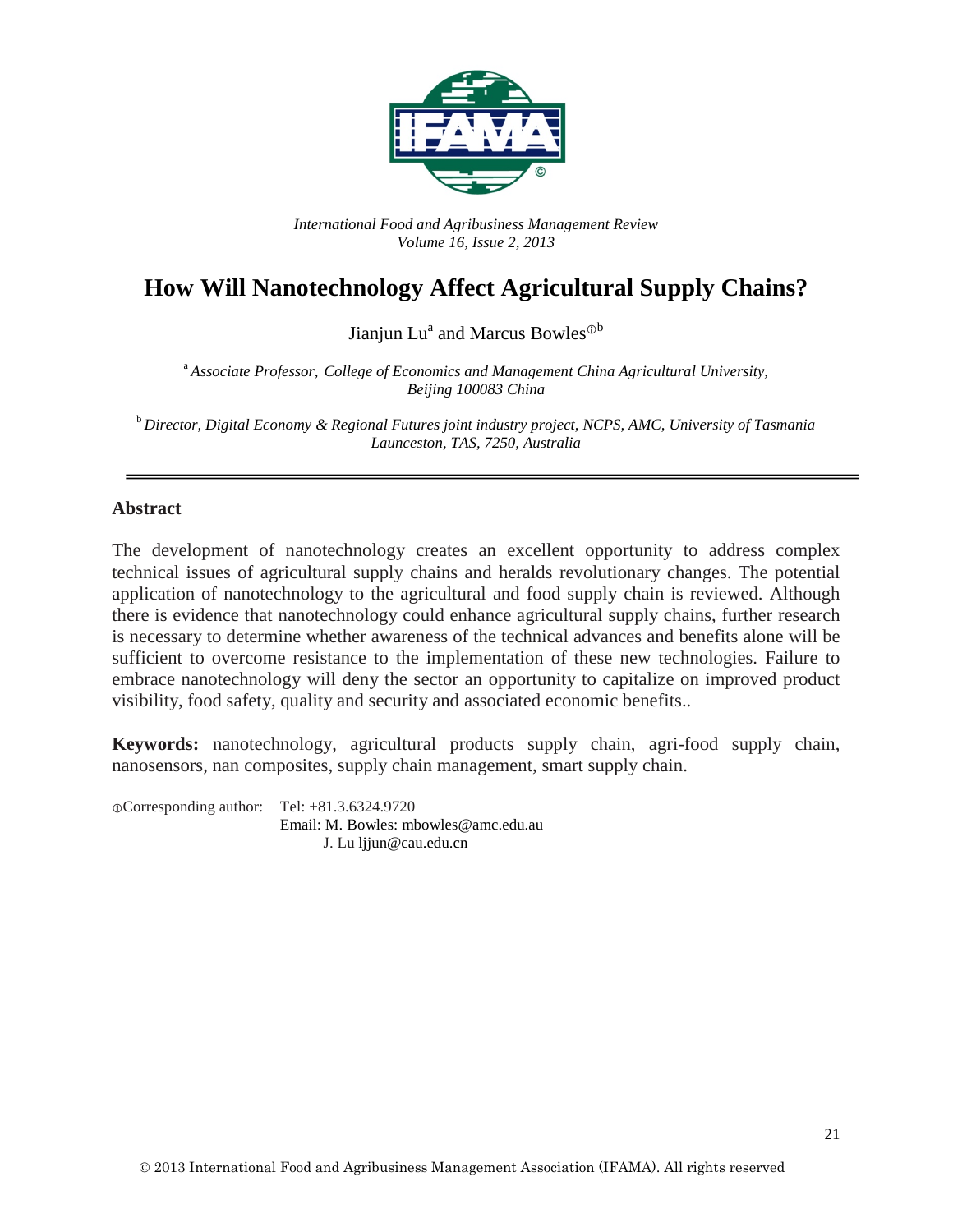

*International Food and Agribusiness Management Review Volume 16, Issue 2, 2013*

# **How Will Nanotechnology Affect Agricultural Supply Chains?**

Jianjun Lu<sup>a</sup> and Marcus Bowles<sup> $\Phi$ b</sup>

<sup>a</sup> *Associate Professor, College of Economics and Management China Agricultural University, Beijing 100083 China*

<sup>b</sup> *Director, Digital Economy & Regional Futures joint industry project, NCPS, AMC, University of Tasmania Launceston, TAS, 7250, Australia*

#### **Abstract**

The development of nanotechnology creates an excellent opportunity to address complex technical issues of agricultural supply chains and heralds revolutionary changes. The potential application of nanotechnology to the agricultural and food supply chain is reviewed. Although there is evidence that nanotechnology could enhance agricultural supply chains, further research is necessary to determine whether awareness of the technical advances and benefits alone will be sufficient to overcome resistance to the implementation of these new technologies. Failure to embrace nanotechnology will deny the sector an opportunity to capitalize on improved product visibility, food safety, quality and security and associated economic benefits..

**Keywords:** nanotechnology, agricultural products supply chain, agri-food supply chain, nanosensors, nan composites, supply chain management, smart supply chain.

Corresponding author: Tel: +81.3.6324.9720 Email: M. Bowles: mbowles@amc.edu.au J. Lu ljjun@cau.edu.cn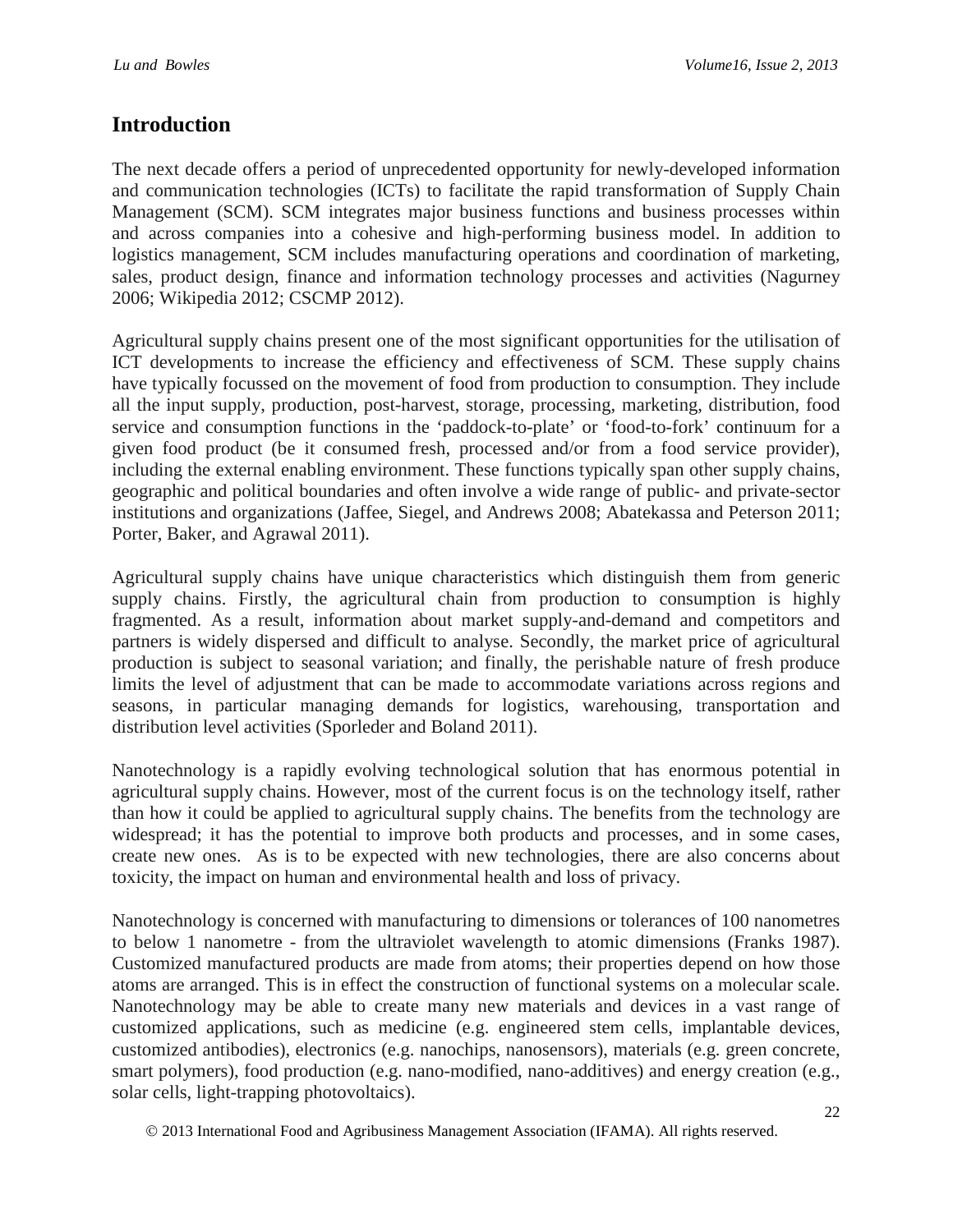## **Introduction**

The next decade offers a period of unprecedented opportunity for newly-developed information and communication technologies (ICTs) to facilitate the rapid transformation of Supply Chain Management (SCM). SCM integrates major business functions and business processes within and across companies into a cohesive and high-performing business model. In addition to logistics management, SCM includes manufacturing operations and coordination of marketing, sales, product design, finance and information technology processes and activities (Nagurney 2006; Wikipedia 2012; CSCMP 2012).

Agricultural supply chains present one of the most significant opportunities for the utilisation of ICT developments to increase the efficiency and effectiveness of SCM. These supply chains have typically focussed on the movement of food from production to consumption. They include all the input supply, production, post-harvest, storage, processing, marketing, distribution, food service and consumption functions in the 'paddock-to-plate' or 'food-to-fork' continuum for a given food product (be it consumed fresh, processed and/or from a food service provider), including the external enabling environment. These functions typically span other supply chains, geographic and political boundaries and often involve a wide range of public- and private-sector institutions and organizations (Jaffee, Siegel, and Andrews 2008; Abatekassa and Peterson 2011; Porter, Baker, and Agrawal 2011).

Agricultural supply chains have unique characteristics which distinguish them from generic supply chains. Firstly, the agricultural chain from production to consumption is highly fragmented. As a result, information about market supply-and-demand and competitors and partners is widely dispersed and difficult to analyse. Secondly, the market price of agricultural production is subject to seasonal variation; and finally, the perishable nature of fresh produce limits the level of adjustment that can be made to accommodate variations across regions and seasons, in particular managing demands for logistics, warehousing, transportation and distribution level activities (Sporleder and Boland 2011).

Nanotechnology is a rapidly evolving technological solution that has enormous potential in agricultural supply chains. However, most of the current focus is on the technology itself, rather than how it could be applied to agricultural supply chains. The benefits from the technology are widespread; it has the potential to improve both products and processes, and in some cases, create new ones. As is to be expected with new technologies, there are also concerns about toxicity, the impact on human and environmental health and loss of privacy.

Nanotechnology is concerned with manufacturing to dimensions or tolerances of 100 nanometres to below 1 nanometre - from the ultraviolet wavelength to atomic dimensions (Franks 1987). Customized manufactured products are made from atoms; their properties depend on how those atoms are arranged. This is in effect the construction of functional systems on a molecular scale. Nanotechnology may be able to create many new materials and devices in a vast range of customized applications, such as medicine (e.g. engineered stem cells, implantable devices, customized antibodies), electronics (e.g. nanochips, nanosensors), materials (e.g. green concrete, smart polymers), food production (e.g. nano-modified, nano-additives) and energy creation (e.g., solar cells, light-trapping photovoltaics).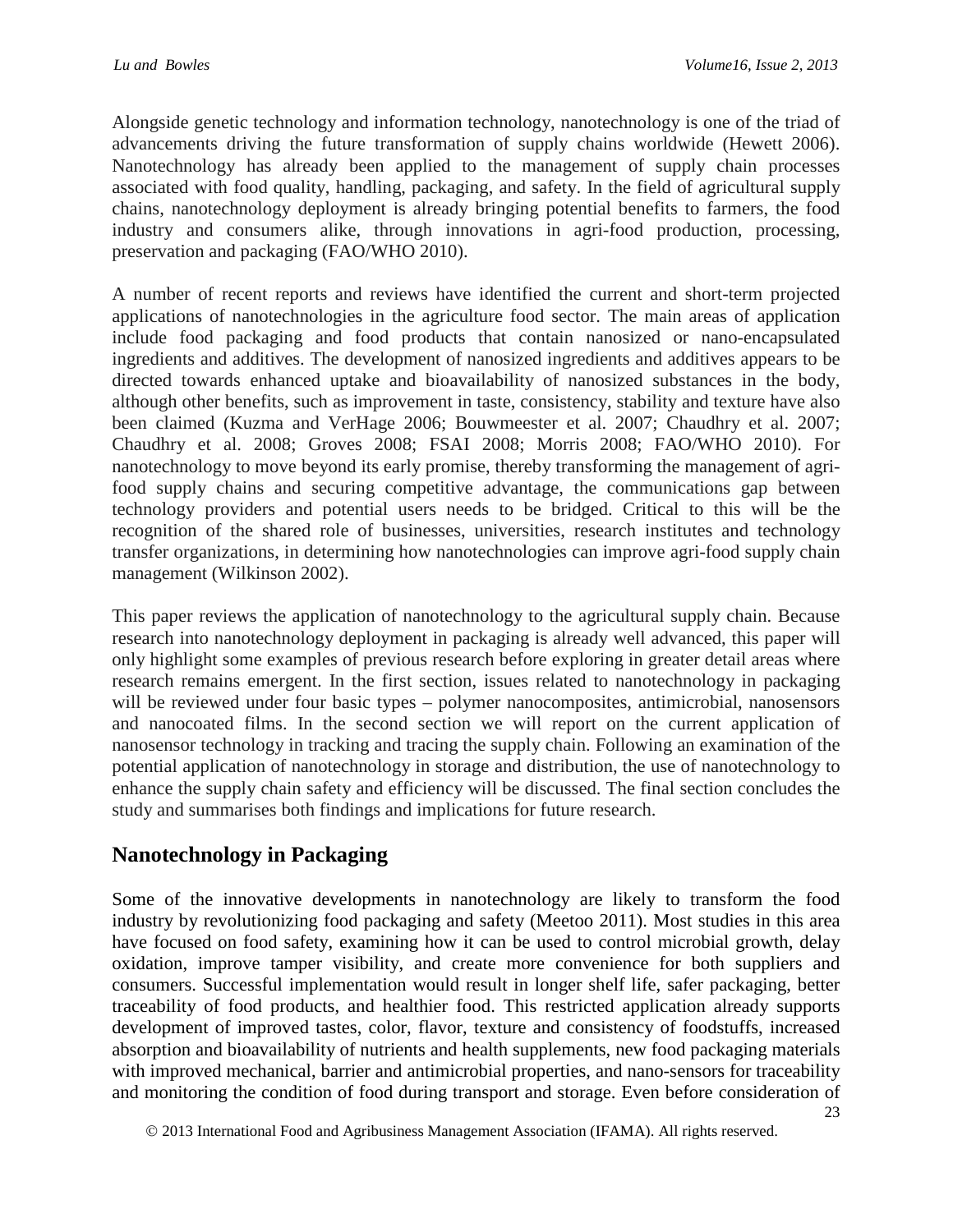Alongside genetic technology and information technology, nanotechnology is one of the triad of advancements driving the future transformation of supply chains worldwide (Hewett 2006). Nanotechnology has already been applied to the management of supply chain processes associated with food quality, handling, packaging, and safety. In the field of agricultural supply chains, nanotechnology deployment is already bringing potential benefits to farmers, the food industry and consumers alike, through innovations in agri-food production, processing, preservation and packaging (FAO/WHO 2010).

A number of recent reports and reviews have identified the current and short-term projected applications of nanotechnologies in the agriculture food sector. The main areas of application include food packaging and food products that contain nanosized or nano-encapsulated ingredients and additives. The development of nanosized ingredients and additives appears to be directed towards enhanced uptake and bioavailability of nanosized substances in the body, although other benefits, such as improvement in taste, consistency, stability and texture have also been claimed (Kuzma and VerHage 2006; Bouwmeester et al. 2007; Chaudhry et al. 2007; Chaudhry et al. 2008; Groves 2008; FSAI 2008; Morris 2008; FAO/WHO 2010). For nanotechnology to move beyond its early promise, thereby transforming the management of agrifood supply chains and securing competitive advantage, the communications gap between technology providers and potential users needs to be bridged. Critical to this will be the recognition of the shared role of businesses, universities, research institutes and technology transfer organizations, in determining how nanotechnologies can improve agri-food supply chain management (Wilkinson 2002).

This paper reviews the application of nanotechnology to the agricultural supply chain. Because research into nanotechnology deployment in packaging is already well advanced, this paper will only highlight some examples of previous research before exploring in greater detail areas where research remains emergent. In the first section, issues related to nanotechnology in packaging will be reviewed under four basic types – polymer nanocomposites, antimicrobial, nanosensors and nanocoated films. In the second section we will report on the current application of nanosensor technology in tracking and tracing the supply chain. Following an examination of the potential application of nanotechnology in storage and distribution, the use of nanotechnology to enhance the supply chain safety and efficiency will be discussed. The final section concludes the study and summarises both findings and implications for future research.

## **Nanotechnology in Packaging**

Some of the innovative developments in nanotechnology are likely to transform the food industry by revolutionizing food packaging and safety (Meetoo 2011). Most studies in this area have focused on food safety, examining how it can be used to control microbial growth, delay oxidation, improve tamper visibility, and create more convenience for both suppliers and consumers. Successful implementation would result in longer shelf life, safer packaging, better traceability of food products, and healthier food. This restricted application already supports development of improved tastes, color, flavor, texture and consistency of foodstuffs, increased absorption and bioavailability of nutrients and health supplements, new food packaging materials with improved mechanical, barrier and antimicrobial properties, and nano-sensors for traceability and monitoring the condition of food during transport and storage. Even before consideration of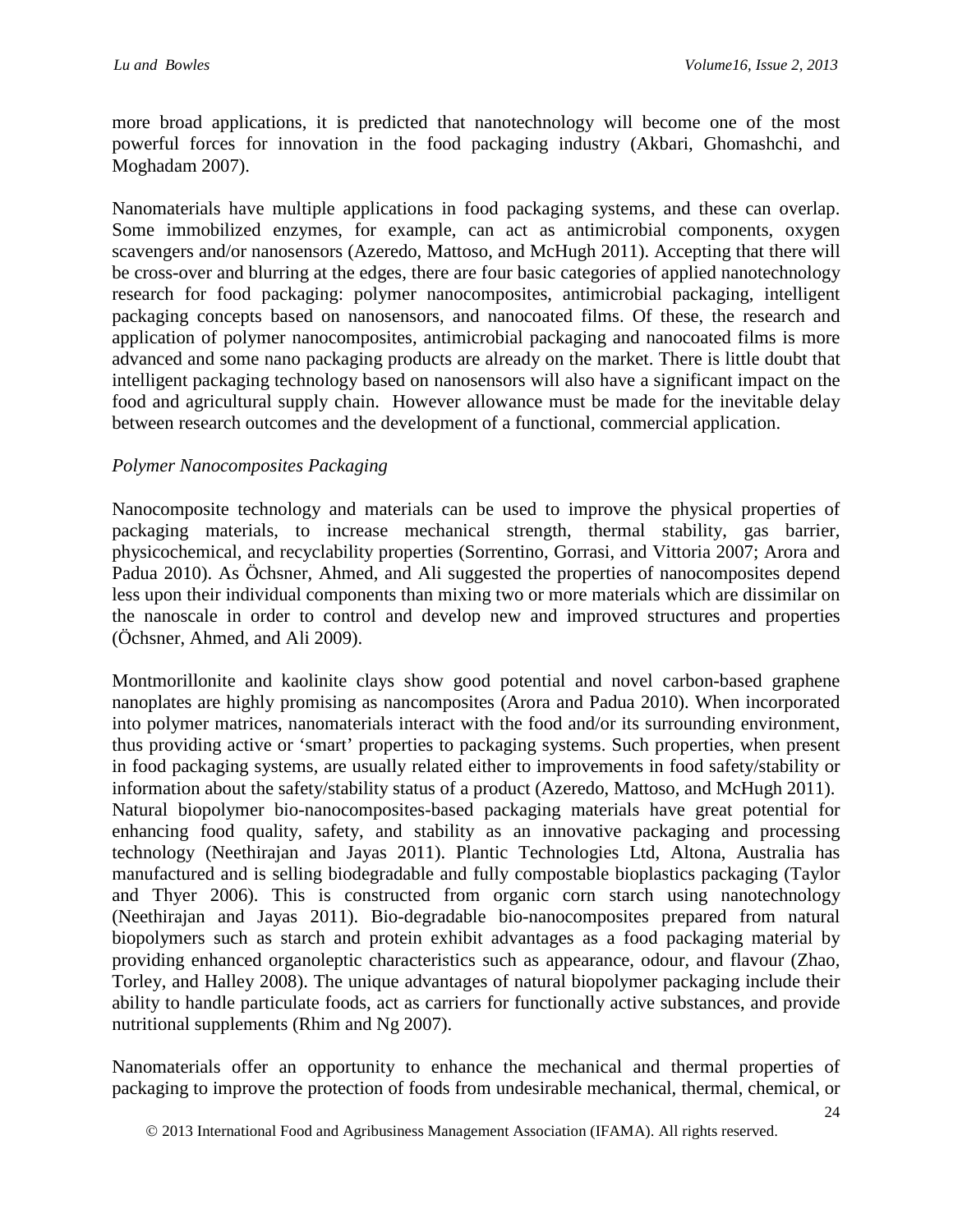more broad applications, it is predicted that nanotechnology will become one of the most powerful forces for innovation in the food packaging industry (Akbari, Ghomashchi, and Moghadam 2007).

Nanomaterials have multiple applications in food packaging systems, and these can overlap. Some immobilized enzymes, for example, can act as antimicrobial components, oxygen scavengers and/or nanosensors (Azeredo, Mattoso, and McHugh 2011). Accepting that there will be cross-over and blurring at the edges, there are four basic categories of applied nanotechnology research for food packaging: polymer nanocomposites, antimicrobial packaging, intelligent packaging concepts based on nanosensors, and nanocoated films. Of these, the research and application of polymer nanocomposites, antimicrobial packaging and nanocoated films is more advanced and some nano packaging products are already on the market. There is little doubt that intelligent packaging technology based on nanosensors will also have a significant impact on the food and agricultural supply chain. However allowance must be made for the inevitable delay between research outcomes and the development of a functional, commercial application.

### *Polymer Nanocomposites Packaging*

Nanocomposite technology and materials can be used to improve the physical properties of packaging materials, to increase mechanical strength, thermal stability, gas barrier, physicochemical, and recyclability properties (Sorrentino, Gorrasi, and Vittoria 2007; Arora and Padua 2010). As Öchsner, Ahmed, and Ali suggested the properties of nanocomposites depend less upon their individual components than mixing two or more materials which are dissimilar on the nanoscale in order to control and develop new and improved structures and properties (Öchsner, Ahmed, and Ali 2009).

Montmorillonite and kaolinite clays show good potential and novel carbon-based graphene nanoplates are highly promising as nancomposites (Arora and Padua 2010). When incorporated into polymer matrices, nanomaterials interact with the food and/or its surrounding environment, thus providing active or 'smart' properties to packaging systems. Such properties, when present in food packaging systems, are usually related either to improvements in food safety/stability or information about the safety/stability status of a product (Azeredo, Mattoso, and McHugh 2011). Natural biopolymer bio-nanocomposites-based packaging materials have great potential for enhancing food quality, safety, and stability as an innovative packaging and processing technology (Neethirajan and Jayas 2011). Plantic Technologies Ltd, Altona, Australia has manufactured and is selling biodegradable and fully compostable bioplastics packaging (Taylor and Thyer 2006). This is constructed from organic corn starch using nanotechnology (Neethirajan and Jayas 2011). Bio-degradable bio-nanocomposites prepared from natural biopolymers such as starch and protein exhibit advantages as a food packaging material by providing enhanced organoleptic characteristics such as appearance, odour, and flavour (Zhao, Torley, and Halley 2008). The unique advantages of natural biopolymer packaging include their ability to handle particulate foods, act as carriers for functionally active substances, and provide nutritional supplements (Rhim and Ng 2007).

Nanomaterials offer an opportunity to enhance the mechanical and thermal properties of packaging to improve the protection of foods from undesirable mechanical, thermal, chemical, or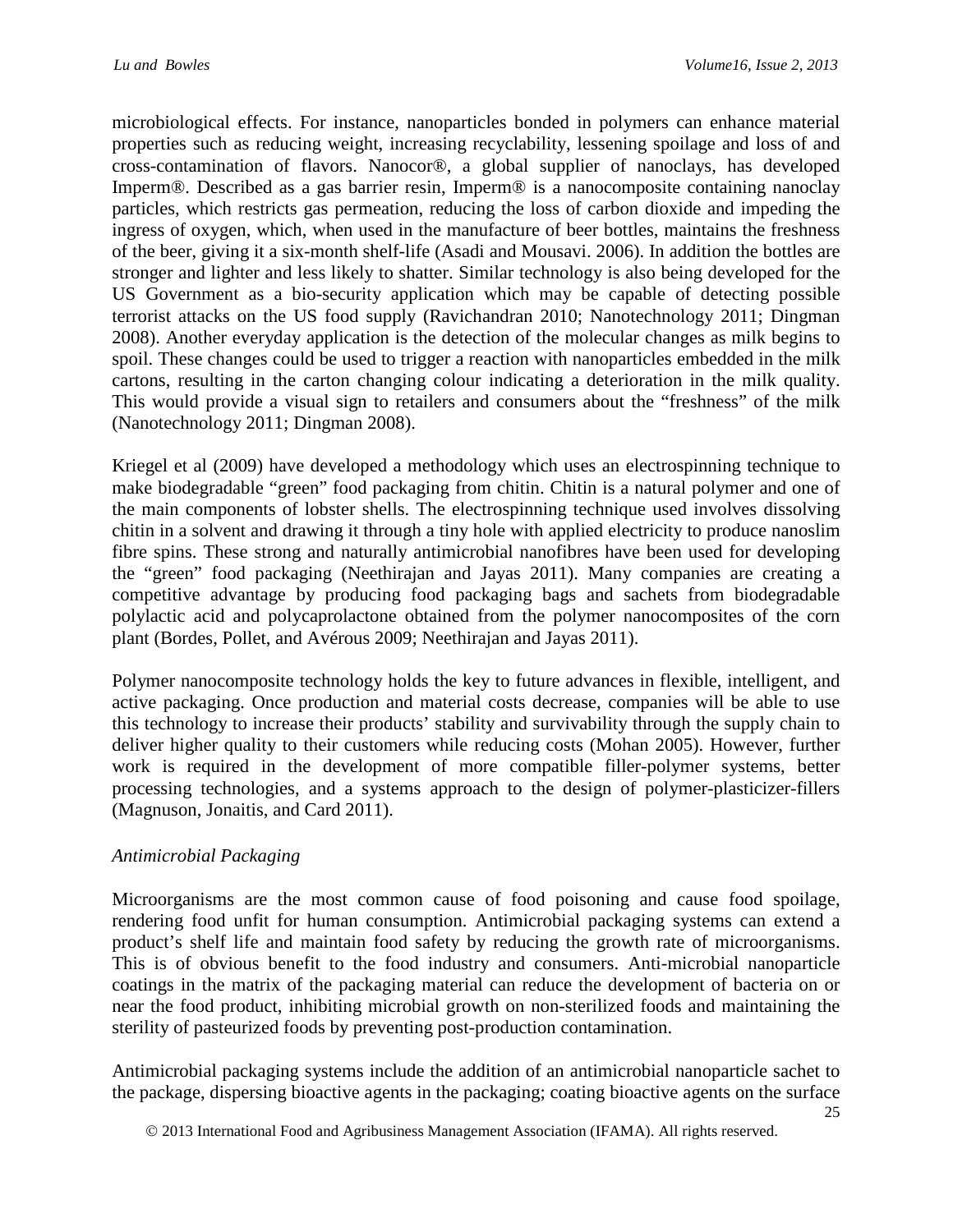microbiological effects. For instance, nanoparticles bonded in polymers can enhance material properties such as reducing weight, increasing recyclability, lessening spoilage and loss of and cross-contamination of flavors. Nanocor®, a global supplier of nanoclays, has developed Imperm®. Described as a gas barrier resin, Imperm® is a nanocomposite containing nanoclay particles, which restricts gas permeation, reducing the loss of carbon dioxide and impeding the ingress of oxygen, which, when used in the manufacture of beer bottles, maintains the freshness of the beer, giving it a six-month shelf-life (Asadi and Mousavi. 2006). In addition the bottles are stronger and lighter and less likely to shatter. Similar technology is also being developed for the US Government as a bio-security application which may be capable of detecting possible terrorist attacks on the US food supply (Ravichandran 2010; Nanotechnology 2011; Dingman 2008). Another everyday application is the detection of the molecular changes as milk begins to spoil. These changes could be used to trigger a reaction with nanoparticles embedded in the milk cartons, resulting in the carton changing colour indicating a deterioration in the milk quality. This would provide a visual sign to retailers and consumers about the "freshness" of the milk (Nanotechnology 2011; Dingman 2008).

Kriegel et al (2009) have developed a methodology which uses an electrospinning technique to make biodegradable "green" food packaging from chitin. Chitin is a natural polymer and one of the main components of lobster shells. The electrospinning technique used involves dissolving chitin in a solvent and drawing it through a tiny hole with applied electricity to produce nanoslim fibre spins. These strong and naturally antimicrobial nanofibres have been used for developing the "green" food packaging (Neethirajan and Jayas 2011). Many companies are creating a competitive advantage by producing food packaging bags and sachets from biodegradable polylactic acid and polycaprolactone obtained from the polymer nanocomposites of the corn plant (Bordes, Pollet, and Avérous 2009; Neethirajan and Jayas 2011).

Polymer nanocomposite technology holds the key to future advances in flexible, intelligent, and active packaging. Once production and material costs decrease, companies will be able to use this technology to increase their products' stability and survivability through the supply chain to deliver higher quality to their customers while reducing costs (Mohan 2005). However, further work is required in the development of more compatible filler-polymer systems, better processing technologies, and a systems approach to the design of polymer-plasticizer-fillers (Magnuson, Jonaitis, and Card 2011).

### *Antimicrobial Packaging*

Microorganisms are the most common cause of food poisoning and cause food spoilage, rendering food unfit for human consumption. Antimicrobial packaging systems can extend a product's shelf life and maintain food safety by reducing the growth rate of microorganisms. This is of obvious benefit to the food industry and consumers. Anti-microbial nanoparticle coatings in the matrix of the packaging material can reduce the development of bacteria on or near the food product, inhibiting microbial growth on non-sterilized foods and maintaining the sterility of pasteurized foods by preventing post-production contamination.

Antimicrobial packaging systems include the addition of an antimicrobial nanoparticle sachet to the package, dispersing bioactive agents in the packaging; coating bioactive agents on the surface

2013 International Food and Agribusiness Management Association (IFAMA). All rights reserved.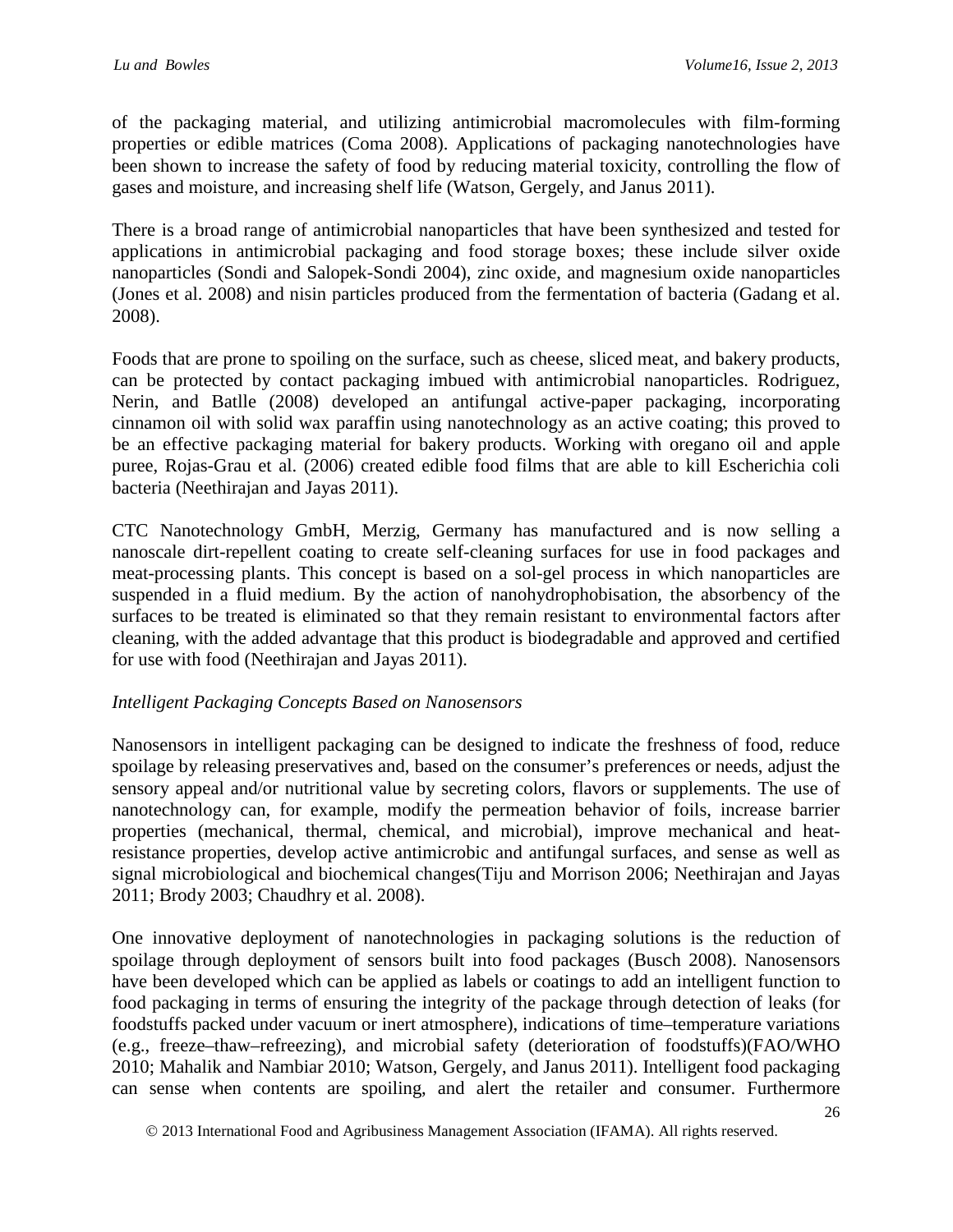of the packaging material, and utilizing antimicrobial macromolecules with film-forming properties or edible matrices (Coma 2008). Applications of packaging nanotechnologies have been shown to increase the safety of food by reducing material toxicity, controlling the flow of gases and moisture, and increasing shelf life (Watson, Gergely, and Janus 2011).

There is a broad range of antimicrobial nanoparticles that have been synthesized and tested for applications in antimicrobial packaging and food storage boxes; these include silver oxide nanoparticles (Sondi and Salopek-Sondi 2004), zinc oxide, and magnesium oxide nanoparticles (Jones et al. 2008) and nisin particles produced from the fermentation of bacteria (Gadang et al. 2008).

Foods that are prone to spoiling on the surface, such as cheese, sliced meat, and bakery products, can be protected by contact packaging imbued with antimicrobial nanoparticles. Rodriguez, Nerin, and Batlle (2008) developed an antifungal active-paper packaging, incorporating cinnamon oil with solid wax paraffin using nanotechnology as an active coating; this proved to be an effective packaging material for bakery products. Working with oregano oil and apple puree, Rojas-Grau et al. (2006) created edible food films that are able to kill Escherichia coli bacteria (Neethirajan and Jayas 2011).

CTC Nanotechnology GmbH, Merzig, Germany has manufactured and is now selling a nanoscale dirt-repellent coating to create self-cleaning surfaces for use in food packages and meat-processing plants. This concept is based on a sol-gel process in which nanoparticles are suspended in a fluid medium. By the action of nanohydrophobisation, the absorbency of the surfaces to be treated is eliminated so that they remain resistant to environmental factors after cleaning, with the added advantage that this product is biodegradable and approved and certified for use with food (Neethirajan and Jayas 2011).

### *Intelligent Packaging Concepts Based on Nanosensors*

Nanosensors in intelligent packaging can be designed to indicate the freshness of food, reduce spoilage by releasing preservatives and, based on the consumer's preferences or needs, adjust the sensory appeal and/or nutritional value by secreting colors, flavors or supplements. The use of nanotechnology can, for example, modify the permeation behavior of foils, increase barrier properties (mechanical, thermal, chemical, and microbial), improve mechanical and heatresistance properties, develop active antimicrobic and antifungal surfaces, and sense as well as signal microbiological and biochemical changes(Tiju and Morrison 2006; Neethirajan and Jayas 2011; Brody 2003; Chaudhry et al. 2008).

One innovative deployment of nanotechnologies in packaging solutions is the reduction of spoilage through deployment of sensors built into food packages (Busch 2008). Nanosensors have been developed which can be applied as labels or coatings to add an intelligent function to food packaging in terms of ensuring the integrity of the package through detection of leaks (for foodstuffs packed under vacuum or inert atmosphere), indications of time–temperature variations (e.g., freeze–thaw–refreezing), and microbial safety (deterioration of foodstuffs)(FAO/WHO 2010; Mahalik and Nambiar 2010; Watson, Gergely, and Janus 2011). Intelligent food packaging can sense when contents are spoiling, and alert the retailer and consumer. Furthermore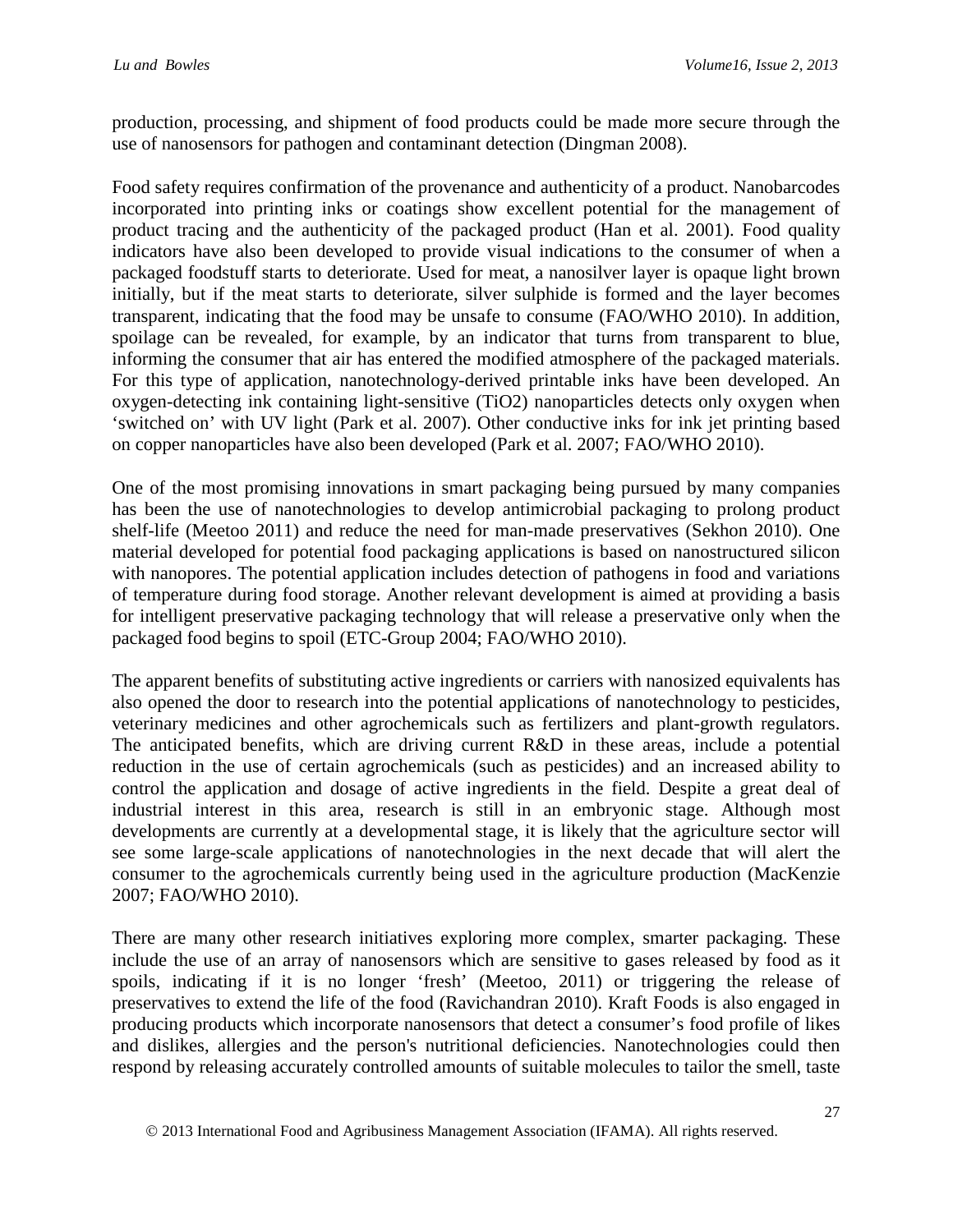production, processing, and shipment of food products could be made more secure through the use of nanosensors for pathogen and contaminant detection (Dingman 2008).

Food safety requires confirmation of the provenance and authenticity of a product. Nanobarcodes incorporated into printing inks or coatings show excellent potential for the management of product tracing and the authenticity of the packaged product (Han et al. 2001). Food quality indicators have also been developed to provide visual indications to the consumer of when a packaged foodstuff starts to deteriorate. Used for meat, a nanosilver layer is opaque light brown initially, but if the meat starts to deteriorate, silver sulphide is formed and the layer becomes transparent, indicating that the food may be unsafe to consume (FAO/WHO 2010). In addition, spoilage can be revealed, for example, by an indicator that turns from transparent to blue, informing the consumer that air has entered the modified atmosphere of the packaged materials. For this type of application, nanotechnology-derived printable inks have been developed. An oxygen-detecting ink containing light-sensitive (TiO2) nanoparticles detects only oxygen when 'switched on' with UV light (Park et al. 2007). Other conductive inks for ink jet printing based on copper nanoparticles have also been developed (Park et al. 2007; FAO/WHO 2010).

One of the most promising innovations in smart packaging being pursued by many companies has been the use of nanotechnologies to develop antimicrobial packaging to prolong product shelf-life (Meetoo 2011) and reduce the need for man-made preservatives (Sekhon 2010). One material developed for potential food packaging applications is based on nanostructured silicon with nanopores. The potential application includes detection of pathogens in food and variations of temperature during food storage. Another relevant development is aimed at providing a basis for intelligent preservative packaging technology that will release a preservative only when the packaged food begins to spoil (ETC-Group 2004; FAO/WHO 2010).

The apparent benefits of substituting active ingredients or carriers with nanosized equivalents has also opened the door to research into the potential applications of nanotechnology to pesticides, veterinary medicines and other agrochemicals such as fertilizers and plant-growth regulators. The anticipated benefits, which are driving current R&D in these areas, include a potential reduction in the use of certain agrochemicals (such as pesticides) and an increased ability to control the application and dosage of active ingredients in the field. Despite a great deal of industrial interest in this area, research is still in an embryonic stage. Although most developments are currently at a developmental stage, it is likely that the agriculture sector will see some large-scale applications of nanotechnologies in the next decade that will alert the consumer to the agrochemicals currently being used in the agriculture production (MacKenzie 2007; FAO/WHO 2010).

There are many other research initiatives exploring more complex, smarter packaging. These include the use of an array of nanosensors which are sensitive to gases released by food as it spoils, indicating if it is no longer 'fresh' (Meetoo, 2011) or triggering the release of preservatives to extend the life of the food (Ravichandran 2010). Kraft Foods is also engaged in producing products which incorporate nanosensors that detect a consumer's food profile of likes and dislikes, allergies and the person's nutritional deficiencies. Nanotechnologies could then respond by releasing accurately controlled amounts of suitable molecules to tailor the smell, taste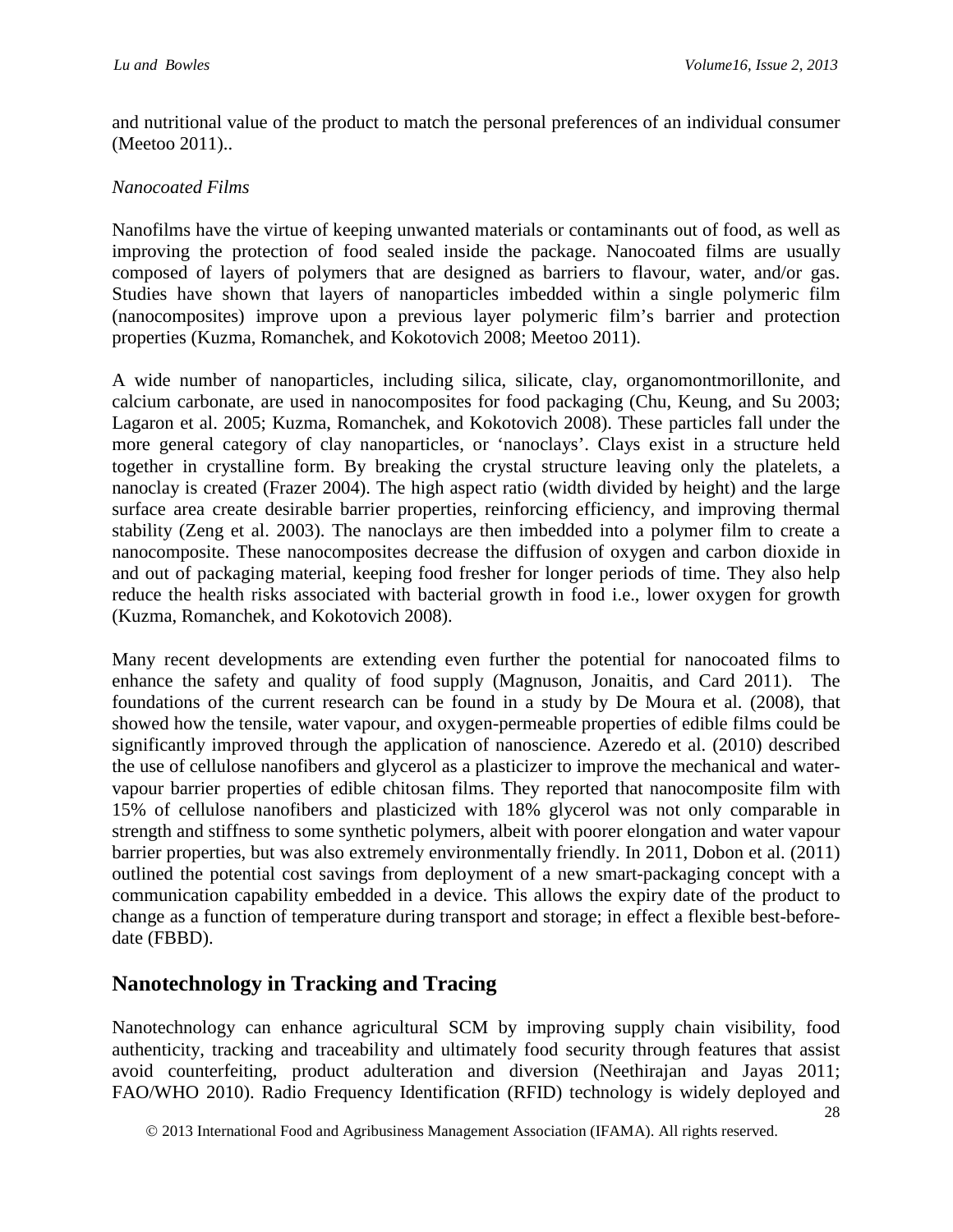and nutritional value of the product to match the personal preferences of an individual consumer (Meetoo 2011)..

#### *Nanocoated Films*

Nanofilms have the virtue of keeping unwanted materials or contaminants out of food, as well as improving the protection of food sealed inside the package. Nanocoated films are usually composed of layers of polymers that are designed as barriers to flavour, water, and/or gas. Studies have shown that layers of nanoparticles imbedded within a single polymeric film (nanocomposites) improve upon a previous layer polymeric film's barrier and protection properties (Kuzma, Romanchek, and Kokotovich 2008; Meetoo 2011).

A wide number of nanoparticles, including silica, silicate, clay, organomontmorillonite, and calcium carbonate, are used in nanocomposites for food packaging (Chu, Keung, and Su 2003; Lagaron et al. 2005; Kuzma, Romanchek, and Kokotovich 2008). These particles fall under the more general category of clay nanoparticles, or 'nanoclays'. Clays exist in a structure held together in crystalline form. By breaking the crystal structure leaving only the platelets, a nanoclay is created (Frazer 2004). The high aspect ratio (width divided by height) and the large surface area create desirable barrier properties, reinforcing efficiency, and improving thermal stability (Zeng et al. 2003). The nanoclays are then imbedded into a polymer film to create a nanocomposite. These nanocomposites decrease the diffusion of oxygen and carbon dioxide in and out of packaging material, keeping food fresher for longer periods of time. They also help reduce the health risks associated with bacterial growth in food i.e., lower oxygen for growth (Kuzma, Romanchek, and Kokotovich 2008).

Many recent developments are extending even further the potential for nanocoated films to enhance the safety and quality of food supply (Magnuson, Jonaitis, and Card 2011). The foundations of the current research can be found in a study by De Moura et al. (2008), that showed how the tensile, water vapour, and oxygen-permeable properties of edible films could be significantly improved through the application of nanoscience. Azeredo et al. (2010) described the use of cellulose nanofibers and glycerol as a plasticizer to improve the mechanical and watervapour barrier properties of edible chitosan films. They reported that nanocomposite film with 15% of cellulose nanofibers and plasticized with 18% glycerol was not only comparable in strength and stiffness to some synthetic polymers, albeit with poorer elongation and water vapour barrier properties, but was also extremely environmentally friendly. In 2011, Dobon et al. (2011) outlined the potential cost savings from deployment of a new smart-packaging concept with a communication capability embedded in a device. This allows the expiry date of the product to change as a function of temperature during transport and storage; in effect a flexible best-beforedate (FBBD).

### **Nanotechnology in Tracking and Tracing**

Nanotechnology can enhance agricultural SCM by improving supply chain visibility, food authenticity, tracking and traceability and ultimately food security through features that assist avoid counterfeiting, product adulteration and diversion (Neethirajan and Jayas 2011; FAO/WHO 2010). Radio Frequency Identification (RFID) technology is widely deployed and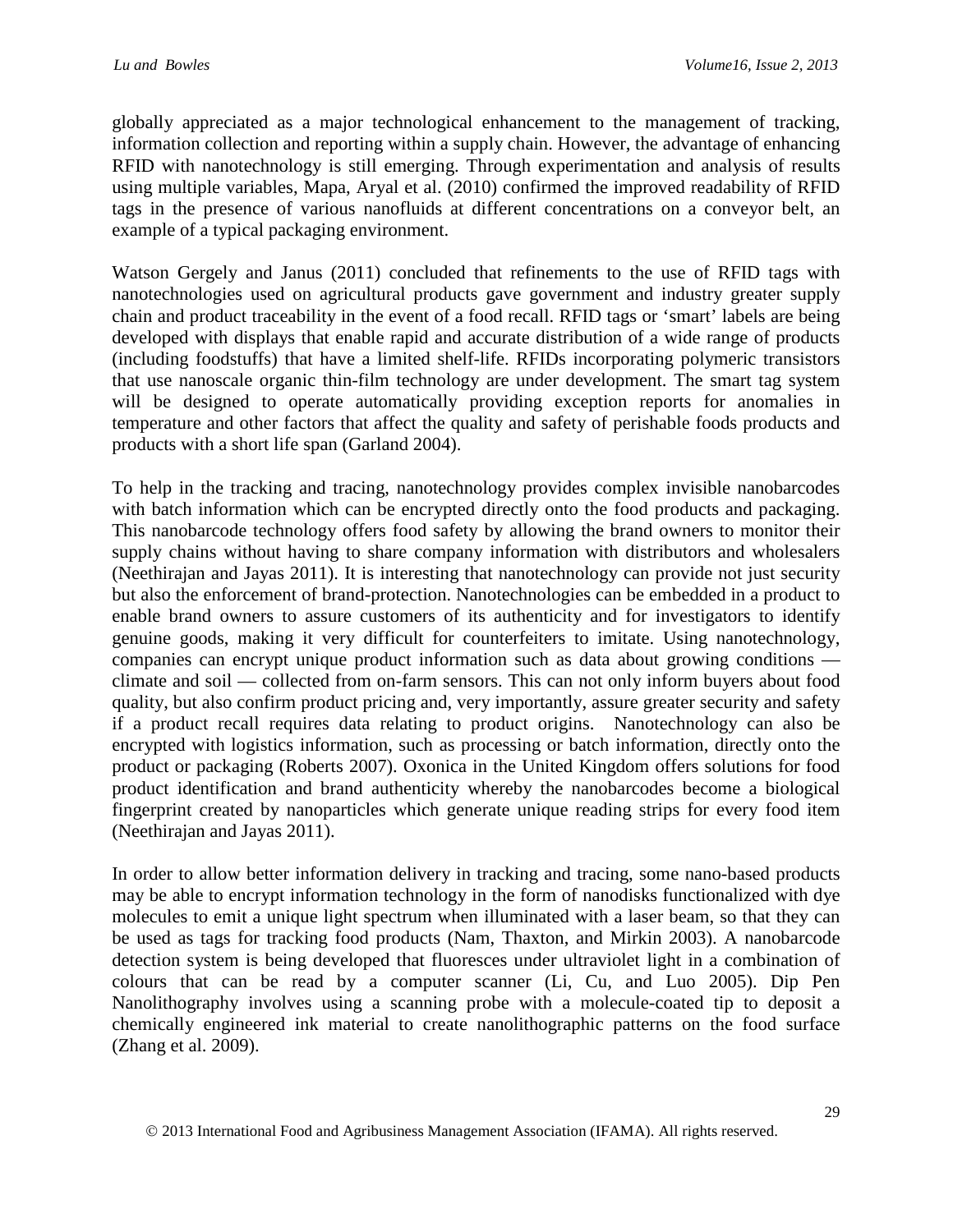globally appreciated as a major technological enhancement to the management of tracking, information collection and reporting within a supply chain. However, the advantage of enhancing RFID with nanotechnology is still emerging. Through experimentation and analysis of results using multiple variables, Mapa, Aryal et al. (2010) confirmed the improved readability of RFID tags in the presence of various nanofluids at different concentrations on a conveyor belt, an example of a typical packaging environment.

Watson Gergely and Janus (2011) concluded that refinements to the use of RFID tags with nanotechnologies used on agricultural products gave government and industry greater supply chain and product traceability in the event of a food recall. RFID tags or 'smart' labels are being developed with displays that enable rapid and accurate distribution of a wide range of products (including foodstuffs) that have a limited shelf-life. RFIDs incorporating polymeric transistors that use nanoscale organic thin-film technology are under development. The smart tag system will be designed to operate automatically providing exception reports for anomalies in temperature and other factors that affect the quality and safety of perishable foods products and products with a short life span (Garland 2004).

To help in the tracking and tracing, nanotechnology provides complex invisible nanobarcodes with batch information which can be encrypted directly onto the food products and packaging. This nanobarcode technology offers food safety by allowing the brand owners to monitor their supply chains without having to share company information with distributors and wholesalers (Neethirajan and Jayas 2011). It is interesting that nanotechnology can provide not just security but also the enforcement of brand-protection. Nanotechnologies can be embedded in a product to enable brand owners to assure customers of its authenticity and for investigators to identify genuine goods, making it very difficult for counterfeiters to imitate. Using nanotechnology, companies can encrypt unique product information such as data about growing conditions climate and soil — collected from on-farm sensors. This can not only inform buyers about food quality, but also confirm product pricing and, very importantly, assure greater security and safety if a product recall requires data relating to product origins. Nanotechnology can also be encrypted with logistics information, such as processing or batch information, directly onto the product or packaging (Roberts 2007). Oxonica in the United Kingdom offers solutions for food product identification and brand authenticity whereby the nanobarcodes become a biological fingerprint created by nanoparticles which generate unique reading strips for every food item (Neethirajan and Jayas 2011).

In order to allow better information delivery in tracking and tracing, some nano-based products may be able to encrypt information technology in the form of nanodisks functionalized with dye molecules to emit a unique light spectrum when illuminated with a laser beam, so that they can be used as tags for tracking food products (Nam, Thaxton, and Mirkin 2003). A nanobarcode detection system is being developed that fluoresces under ultraviolet light in a combination of colours that can be read by a computer scanner (Li, Cu, and Luo 2005). Dip Pen Nanolithography involves using a scanning probe with a molecule-coated tip to deposit a chemically engineered ink material to create nanolithographic patterns on the food surface (Zhang et al. 2009).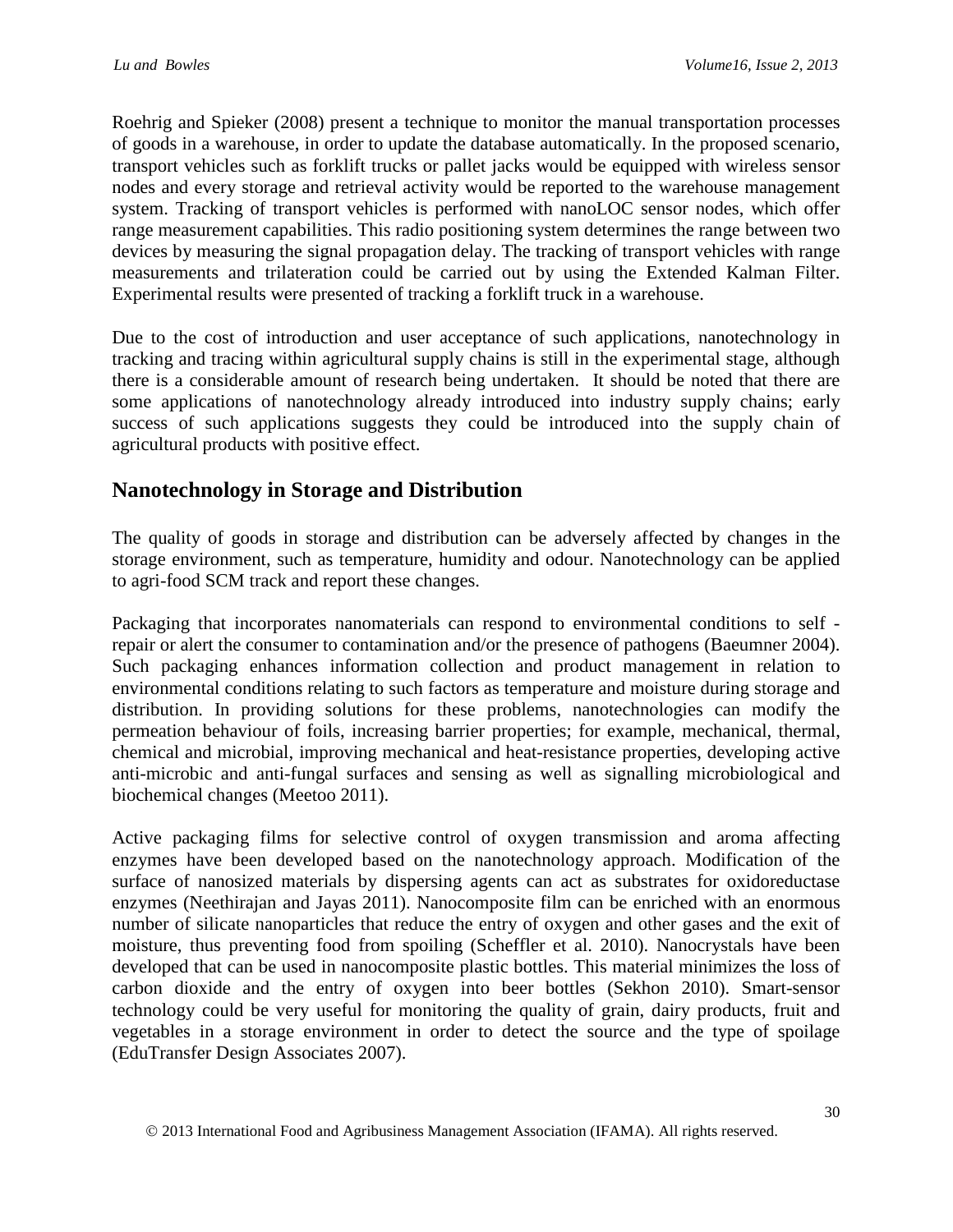Roehrig and Spieker (2008) present a technique to monitor the manual transportation processes of goods in a warehouse, in order to update the database automatically. In the proposed scenario, transport vehicles such as forklift trucks or pallet jacks would be equipped with wireless sensor nodes and every storage and retrieval activity would be reported to the warehouse management system. Tracking of transport vehicles is performed with nanoLOC sensor nodes, which offer range measurement capabilities. This radio positioning system determines the range between two devices by measuring the signal propagation delay. The tracking of transport vehicles with range measurements and trilateration could be carried out by using the Extended Kalman Filter. Experimental results were presented of tracking a forklift truck in a warehouse.

Due to the cost of introduction and user acceptance of such applications, nanotechnology in tracking and tracing within agricultural supply chains is still in the experimental stage, although there is a considerable amount of research being undertaken. It should be noted that there are some applications of nanotechnology already introduced into industry supply chains; early success of such applications suggests they could be introduced into the supply chain of agricultural products with positive effect.

## **Nanotechnology in Storage and Distribution**

The quality of goods in storage and distribution can be adversely affected by changes in the storage environment, such as temperature, humidity and odour. Nanotechnology can be applied to agri-food SCM track and report these changes.

Packaging that incorporates nanomaterials can respond to environmental conditions to self repair or alert the consumer to contamination and/or the presence of pathogens (Baeumner 2004). Such packaging enhances information collection and product management in relation to environmental conditions relating to such factors as temperature and moisture during storage and distribution. In providing solutions for these problems, nanotechnologies can modify the permeation behaviour of foils, increasing barrier properties; for example, mechanical, thermal, chemical and microbial, improving mechanical and heat-resistance properties, developing active anti-microbic and anti-fungal surfaces and sensing as well as signalling microbiological and biochemical changes (Meetoo 2011).

Active packaging films for selective control of oxygen transmission and aroma affecting enzymes have been developed based on the nanotechnology approach. Modification of the surface of nanosized materials by dispersing agents can act as substrates for oxidoreductase enzymes (Neethirajan and Jayas 2011). Nanocomposite film can be enriched with an enormous number of silicate nanoparticles that reduce the entry of oxygen and other gases and the exit of moisture, thus preventing food from spoiling (Scheffler et al. 2010). Nanocrystals have been developed that can be used in nanocomposite plastic bottles. This material minimizes the loss of carbon dioxide and the entry of oxygen into beer bottles (Sekhon 2010). Smart-sensor technology could be very useful for monitoring the quality of grain, dairy products, fruit and vegetables in a storage environment in order to detect the source and the type of spoilage (EduTransfer Design Associates 2007).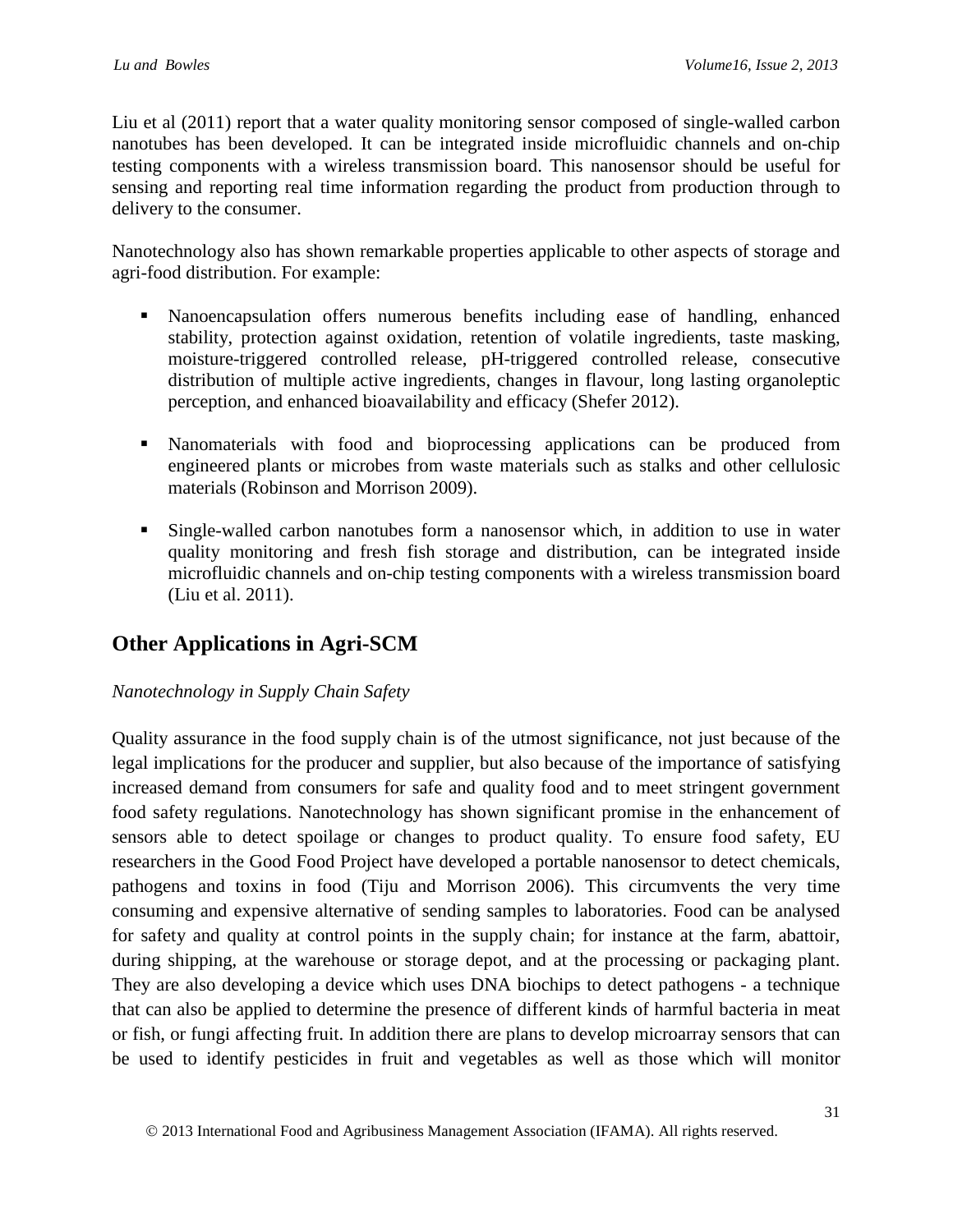Liu et al (2011) report that a water quality monitoring sensor composed of single-walled carbon nanotubes has been developed. It can be integrated inside microfluidic channels and on-chip testing components with a wireless transmission board. This nanosensor should be useful for sensing and reporting real time information regarding the product from production through to delivery to the consumer.

Nanotechnology also has shown remarkable properties applicable to other aspects of storage and agri-food distribution. For example:

- Nanoencapsulation offers numerous benefits including ease of handling, enhanced stability, protection against oxidation, retention of volatile ingredients, taste masking, moisture-triggered controlled release, pH-triggered controlled release, consecutive distribution of multiple active ingredients, changes in flavour, long lasting organoleptic perception, and enhanced bioavailability and efficacy (Shefer 2012).
- Nanomaterials with food and bioprocessing applications can be produced from engineered plants or microbes from waste materials such as stalks and other cellulosic materials (Robinson and Morrison 2009).
- Single-walled carbon nanotubes form a nanosensor which, in addition to use in water quality monitoring and fresh fish storage and distribution, can be integrated inside microfluidic channels and on-chip testing components with a wireless transmission board (Liu et al. 2011).

## **Other Applications in Agri-SCM**

### *Nanotechnology in Supply Chain Safety*

Quality assurance in the food supply chain is of the utmost significance, not just because of the legal implications for the producer and supplier, but also because of the importance of satisfying increased demand from consumers for safe and quality food and to meet stringent government food safety regulations. Nanotechnology has shown significant promise in the enhancement of sensors able to detect spoilage or changes to product quality. To ensure food safety, EU researchers in the Good Food Project have developed a portable nanosensor to detect chemicals, pathogens and toxins in food (Tiju and Morrison 2006). This circumvents the very time consuming and expensive alternative of sending samples to laboratories. Food can be analysed for safety and quality at control points in the supply chain; for instance at the farm, abattoir, during shipping, at the warehouse or storage depot, and at the processing or packaging plant. They are also developing a device which uses DNA biochips to detect pathogens - a technique that can also be applied to determine the presence of different kinds of harmful bacteria in meat or fish, or fungi affecting fruit. In addition there are plans to develop microarray sensors that can be used to identify pesticides in fruit and vegetables as well as those which will monitor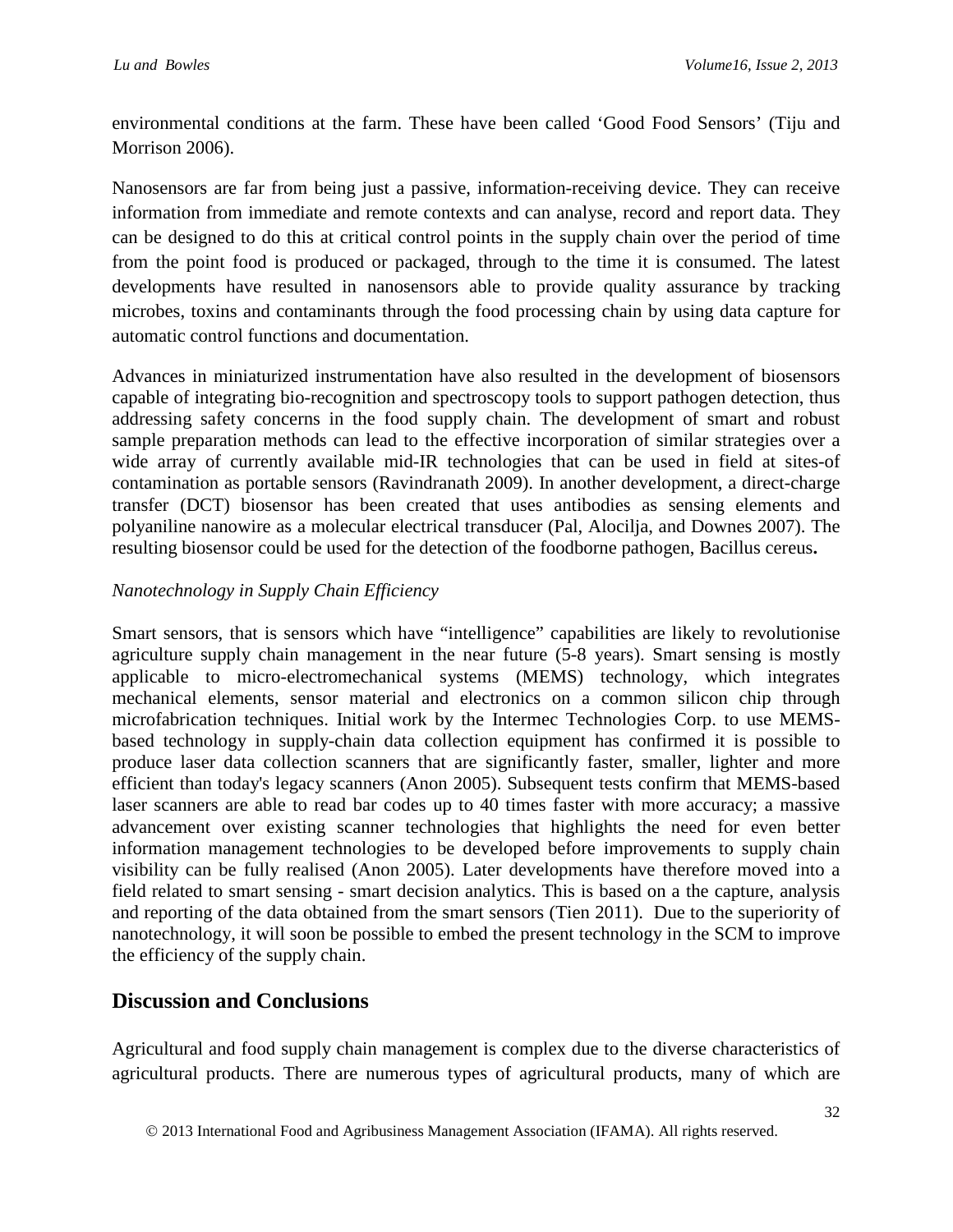environmental conditions at the farm. These have been called 'Good Food Sensors' (Tiju and Morrison 2006).

Nanosensors are far from being just a passive, information-receiving device. They can receive information from immediate and remote contexts and can analyse, record and report data. They can be designed to do this at critical control points in the supply chain over the period of time from the point food is produced or packaged, through to the time it is consumed. The latest developments have resulted in nanosensors able to provide quality assurance by tracking microbes, toxins and contaminants through the food processing chain by using data capture for automatic control functions and documentation.

Advances in miniaturized instrumentation have also resulted in the development of biosensors capable of integrating bio-recognition and spectroscopy tools to support pathogen detection, thus addressing safety concerns in the food supply chain. The development of smart and robust sample preparation methods can lead to the effective incorporation of similar strategies over a wide array of currently available mid-IR technologies that can be used in field at sites-of contamination as portable sensors (Ravindranath 2009). In another development, a direct-charge transfer (DCT) biosensor has been created that uses antibodies as sensing elements and polyaniline nanowire as a molecular electrical transducer (Pal, Alocilja, and Downes 2007). The resulting biosensor could be used for the detection of the foodborne pathogen, Bacillus cereus**.**

### *Nanotechnology in Supply Chain Efficiency*

Smart sensors, that is sensors which have "intelligence" capabilities are likely to revolutionise agriculture supply chain management in the near future (5-8 years). Smart sensing is mostly applicable to micro-electromechanical systems (MEMS) technology, which integrates mechanical elements, sensor material and electronics on a common silicon chip through microfabrication techniques. Initial work by the Intermec Technologies Corp. to use MEMSbased technology in supply-chain data collection equipment has confirmed it is possible to produce laser data collection scanners that are significantly faster, smaller, lighter and more efficient than today's legacy scanners (Anon 2005). Subsequent tests confirm that MEMS-based laser scanners are able to read bar codes up to 40 times faster with more accuracy; a massive advancement over existing scanner technologies that highlights the need for even better information management technologies to be developed before improvements to supply chain visibility can be fully realised (Anon 2005). Later developments have therefore moved into a field related to smart sensing - smart decision analytics. This is based on a the capture, analysis and reporting of the data obtained from the smart sensors (Tien 2011). Due to the superiority of nanotechnology, it will soon be possible to embed the present technology in the SCM to improve the efficiency of the supply chain.

### **Discussion and Conclusions**

Agricultural and food supply chain management is complex due to the diverse characteristics of agricultural products. There are numerous types of agricultural products, many of which are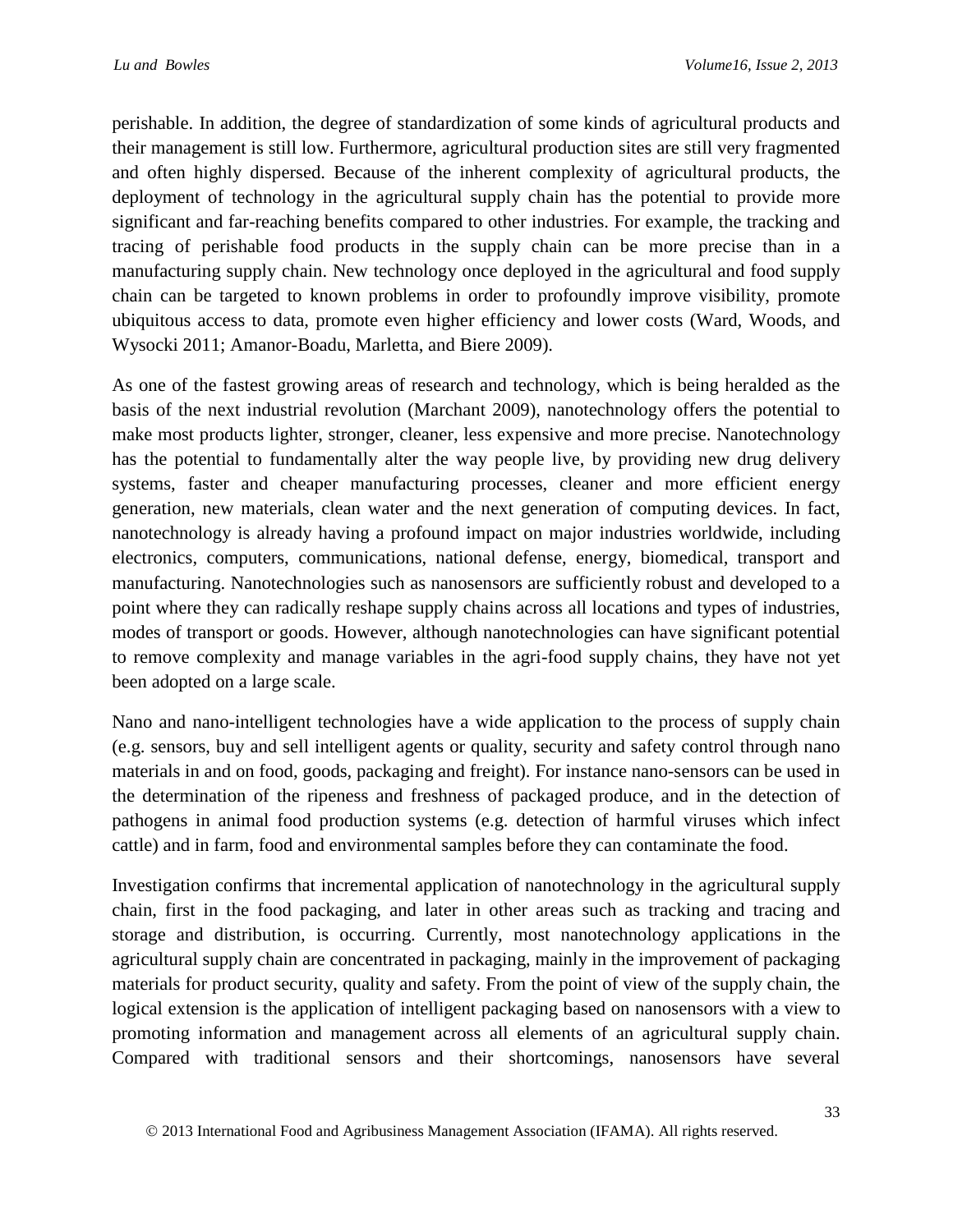perishable. In addition, the degree of standardization of some kinds of agricultural products and their management is still low. Furthermore, agricultural production sites are still very fragmented and often highly dispersed. Because of the inherent complexity of agricultural products, the deployment of technology in the agricultural supply chain has the potential to provide more significant and far-reaching benefits compared to other industries. For example, the tracking and tracing of perishable food products in the supply chain can be more precise than in a manufacturing supply chain. New technology once deployed in the agricultural and food supply chain can be targeted to known problems in order to profoundly improve visibility, promote ubiquitous access to data, promote even higher efficiency and lower costs (Ward, Woods, and Wysocki 2011; Amanor-Boadu, Marletta, and Biere 2009).

As one of the fastest growing areas of research and technology, which is being heralded as the basis of the next industrial revolution (Marchant 2009), nanotechnology offers the potential to make most products lighter, stronger, cleaner, less expensive and more precise. Nanotechnology has the potential to fundamentally alter the way people live, by providing new drug delivery systems, faster and cheaper manufacturing processes, cleaner and more efficient energy generation, new materials, clean water and the next generation of computing devices. In fact, nanotechnology is already having a profound impact on major industries worldwide, including electronics, computers, communications, national defense, energy, biomedical, transport and manufacturing. Nanotechnologies such as nanosensors are sufficiently robust and developed to a point where they can radically reshape supply chains across all locations and types of industries, modes of transport or goods. However, although nanotechnologies can have significant potential to remove complexity and manage variables in the agri-food supply chains, they have not yet been adopted on a large scale.

Nano and nano-intelligent technologies have a wide application to the process of supply chain (e.g. sensors, buy and sell intelligent agents or quality, security and safety control through nano materials in and on food, goods, packaging and freight). For instance nano-sensors can be used in the determination of the ripeness and freshness of packaged produce, and in the detection of pathogens in animal food production systems (e.g. detection of harmful viruses which infect cattle) and in farm, food and environmental samples before they can contaminate the food.

Investigation confirms that incremental application of nanotechnology in the agricultural supply chain, first in the food packaging, and later in other areas such as tracking and tracing and storage and distribution, is occurring. Currently, most nanotechnology applications in the agricultural supply chain are concentrated in packaging, mainly in the improvement of packaging materials for product security, quality and safety. From the point of view of the supply chain, the logical extension is the application of intelligent packaging based on nanosensors with a view to promoting information and management across all elements of an agricultural supply chain. Compared with traditional sensors and their shortcomings, nanosensors have several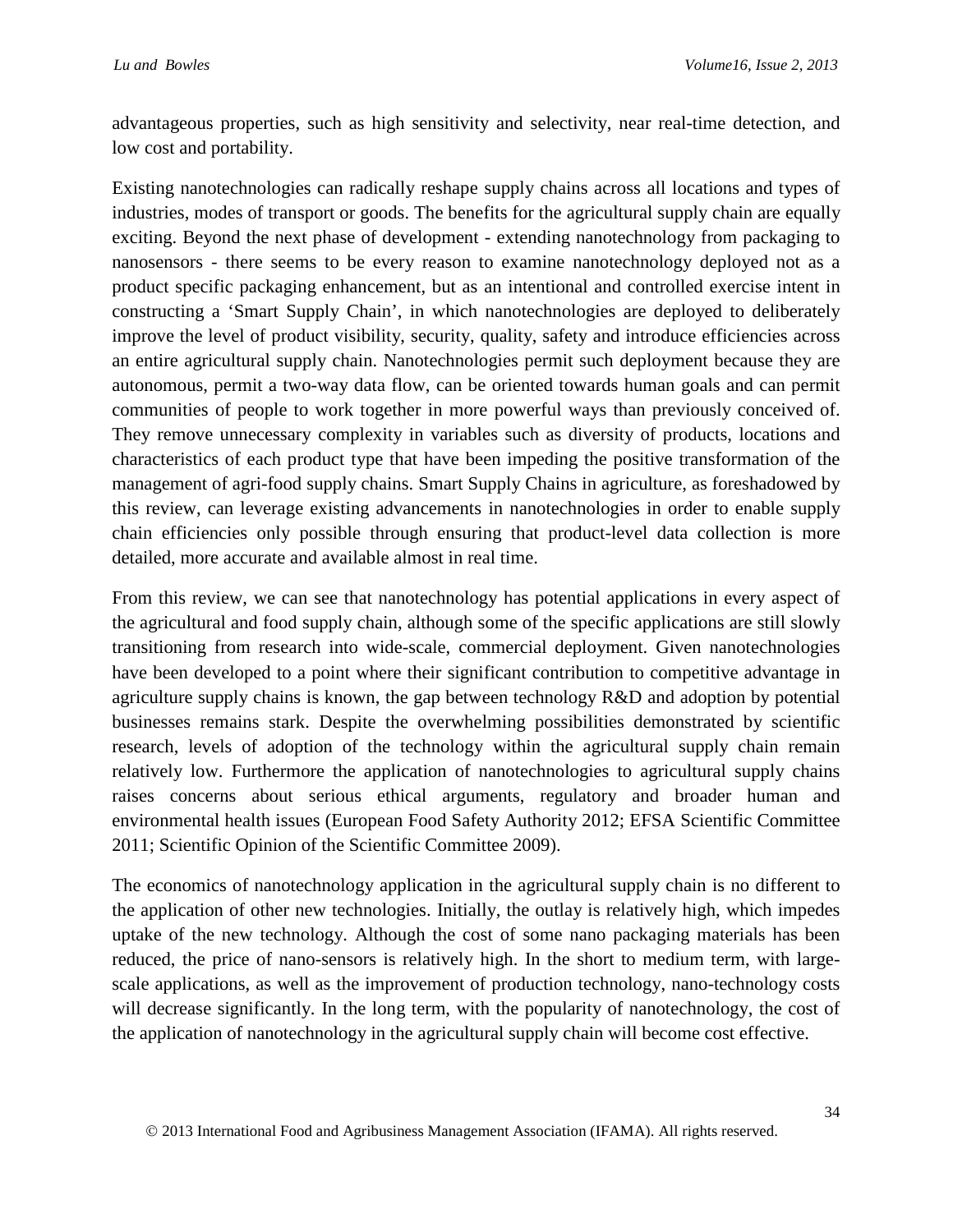advantageous properties, such as high sensitivity and selectivity, near real-time detection, and low cost and portability.

Existing nanotechnologies can radically reshape supply chains across all locations and types of industries, modes of transport or goods. The benefits for the agricultural supply chain are equally exciting. Beyond the next phase of development - extending nanotechnology from packaging to nanosensors - there seems to be every reason to examine nanotechnology deployed not as a product specific packaging enhancement, but as an intentional and controlled exercise intent in constructing a 'Smart Supply Chain', in which nanotechnologies are deployed to deliberately improve the level of product visibility, security, quality, safety and introduce efficiencies across an entire agricultural supply chain. Nanotechnologies permit such deployment because they are autonomous, permit a two-way data flow, can be oriented towards human goals and can permit communities of people to work together in more powerful ways than previously conceived of. They remove unnecessary complexity in variables such as diversity of products, locations and characteristics of each product type that have been impeding the positive transformation of the management of agri-food supply chains. Smart Supply Chains in agriculture, as foreshadowed by this review, can leverage existing advancements in nanotechnologies in order to enable supply chain efficiencies only possible through ensuring that product-level data collection is more detailed, more accurate and available almost in real time.

From this review, we can see that nanotechnology has potential applications in every aspect of the agricultural and food supply chain, although some of the specific applications are still slowly transitioning from research into wide-scale, commercial deployment. Given nanotechnologies have been developed to a point where their significant contribution to competitive advantage in agriculture supply chains is known, the gap between technology R&D and adoption by potential businesses remains stark. Despite the overwhelming possibilities demonstrated by scientific research, levels of adoption of the technology within the agricultural supply chain remain relatively low. Furthermore the application of nanotechnologies to agricultural supply chains raises concerns about serious ethical arguments, regulatory and broader human and environmental health issues (European Food Safety Authority 2012; EFSA Scientific Committee 2011; Scientific Opinion of the Scientific Committee 2009).

The economics of nanotechnology application in the agricultural supply chain is no different to the application of other new technologies. Initially, the outlay is relatively high, which impedes uptake of the new technology. Although the cost of some nano packaging materials has been reduced, the price of nano-sensors is relatively high. In the short to medium term, with largescale applications, as well as the improvement of production technology, nano-technology costs will decrease significantly. In the long term, with the popularity of nanotechnology, the cost of the application of nanotechnology in the agricultural supply chain will become cost effective.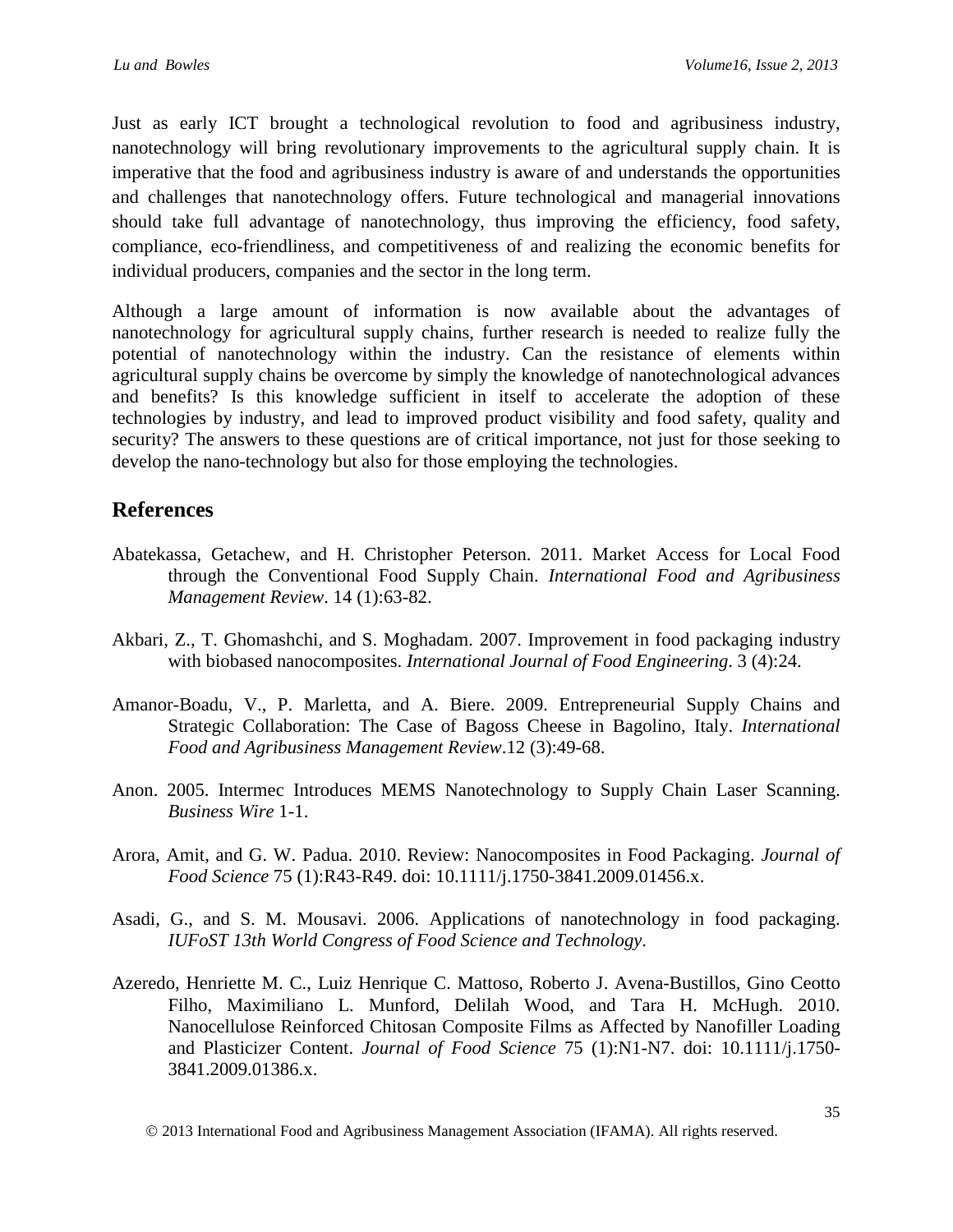Just as early ICT brought a technological revolution to food and agribusiness industry, nanotechnology will bring revolutionary improvements to the agricultural supply chain. It is imperative that the food and agribusiness industry is aware of and understands the opportunities and challenges that nanotechnology offers. Future technological and managerial innovations should take full advantage of nanotechnology, thus improving the efficiency, food safety, compliance, eco-friendliness, and competitiveness of and realizing the economic benefits for individual producers, companies and the sector in the long term.

Although a large amount of information is now available about the advantages of nanotechnology for agricultural supply chains, further research is needed to realize fully the potential of nanotechnology within the industry. Can the resistance of elements within agricultural supply chains be overcome by simply the knowledge of nanotechnological advances and benefits? Is this knowledge sufficient in itself to accelerate the adoption of these technologies by industry, and lead to improved product visibility and food safety, quality and security? The answers to these questions are of critical importance, not just for those seeking to develop the nano-technology but also for those employing the technologies.

## **References**

- Abatekassa, Getachew, and H. Christopher Peterson. 2011. Market Access for Local Food through the Conventional Food Supply Chain. *International Food and Agribusiness Management Review*. 14 (1):63-82.
- Akbari, Z., T. Ghomashchi, and S. Moghadam. 2007. Improvement in food packaging industry with biobased nanocomposites. *International Journal of Food Engineering*. 3 (4):24.
- Amanor-Boadu, V., P. Marletta, and A. Biere. 2009. Entrepreneurial Supply Chains and Strategic Collaboration: The Case of Bagoss Cheese in Bagolino, Italy. *International Food and Agribusiness Management Review*.12 (3):49-68.
- Anon. 2005. Intermec Introduces MEMS Nanotechnology to Supply Chain Laser Scanning. *Business Wire* 1-1.
- Arora, Amit, and G. W. Padua. 2010. Review: Nanocomposites in Food Packaging. *Journal of Food Science* 75 (1):R43-R49. doi: 10.1111/j.1750-3841.2009.01456.x.
- Asadi, G., and S. M. Mousavi. 2006. Applications of nanotechnology in food packaging. *IUFoST 13th World Congress of Food Science and Technology*.
- Azeredo, Henriette M. C., Luiz Henrique C. Mattoso, Roberto J. Avena-Bustillos, Gino Ceotto Filho, Maximiliano L. Munford, Delilah Wood, and Tara H. McHugh. 2010. Nanocellulose Reinforced Chitosan Composite Films as Affected by Nanofiller Loading and Plasticizer Content. *Journal of Food Science* 75 (1):N1-N7. doi: 10.1111/j.1750- 3841.2009.01386.x.

2013 International Food and Agribusiness Management Association (IFAMA). All rights reserved.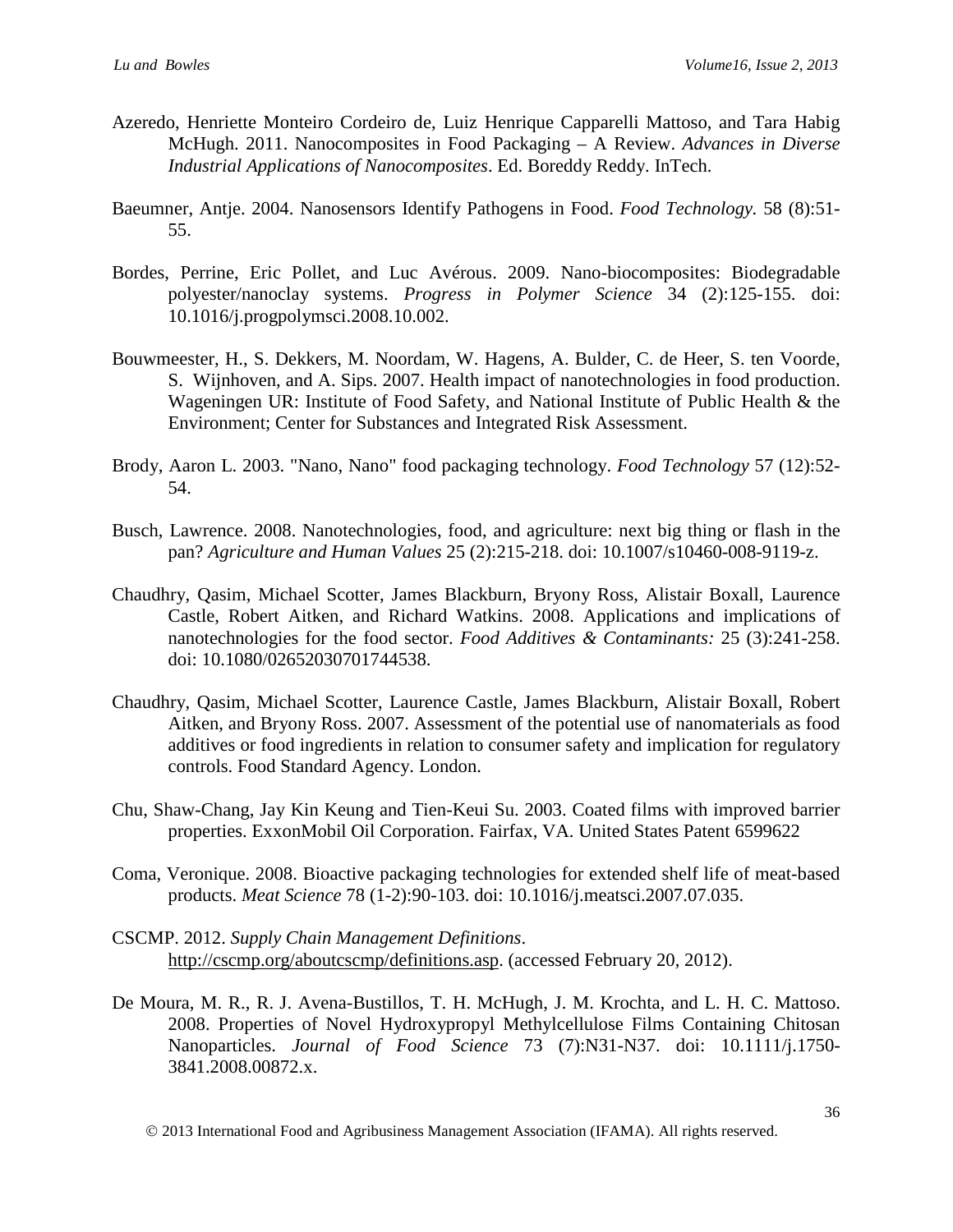- Azeredo, Henriette Monteiro Cordeiro de, Luiz Henrique Capparelli Mattoso, and Tara Habig McHugh. 2011. Nanocomposites in Food Packaging – A Review. *Advances in Diverse Industrial Applications of Nanocomposites*. Ed. Boreddy Reddy. InTech.
- Baeumner, Antje. 2004. Nanosensors Identify Pathogens in Food. *Food Technology.* 58 (8):51- 55.
- Bordes, Perrine, Eric Pollet, and Luc Avérous. 2009. Nano-biocomposites: Biodegradable polyester/nanoclay systems. *Progress in Polymer Science* 34 (2):125-155. doi: 10.1016/j.progpolymsci.2008.10.002.
- Bouwmeester, H., S. Dekkers, M. Noordam, W. Hagens, A. Bulder, C. de Heer, S. ten Voorde, S. Wijnhoven, and A. Sips. 2007. Health impact of nanotechnologies in food production. Wageningen UR: Institute of Food Safety, and National Institute of Public Health & the Environment; Center for Substances and Integrated Risk Assessment.
- Brody, Aaron L. 2003. "Nano, Nano" food packaging technology. *Food Technology* 57 (12):52- 54.
- Busch, Lawrence. 2008. Nanotechnologies, food, and agriculture: next big thing or flash in the pan? *Agriculture and Human Values* 25 (2):215-218. doi: 10.1007/s10460-008-9119-z.
- Chaudhry, Qasim, Michael Scotter, James Blackburn, Bryony Ross, Alistair Boxall, Laurence Castle, Robert Aitken, and Richard Watkins. 2008. Applications and implications of nanotechnologies for the food sector. *Food Additives & Contaminants:* 25 (3):241-258. doi: 10.1080/02652030701744538.
- Chaudhry, Qasim, Michael Scotter, Laurence Castle, James Blackburn, Alistair Boxall, Robert Aitken, and Bryony Ross. 2007. Assessment of the potential use of nanomaterials as food additives or food ingredients in relation to consumer safety and implication for regulatory controls. Food Standard Agency. London.
- Chu, Shaw-Chang, Jay Kin Keung and Tien-Keui Su. 2003. Coated films with improved barrier properties. ExxonMobil Oil Corporation. Fairfax, VA. United States Patent 6599622
- Coma, Veronique. 2008. Bioactive packaging technologies for extended shelf life of meat-based products. *Meat Science* 78 (1-2):90-103. doi: 10.1016/j.meatsci.2007.07.035.
- CSCMP. 2012. *Supply Chain Management Definitions*. [http://cscmp.org/aboutcscmp/definitions.asp.](http://cscmp.org/aboutcscmp/definitions.asp) (accessed February 20, 2012).
- De Moura, M. R., R. J. Avena-Bustillos, T. H. McHugh, J. M. Krochta, and L. H. C. Mattoso. 2008. Properties of Novel Hydroxypropyl Methylcellulose Films Containing Chitosan Nanoparticles. *Journal of Food Science* 73 (7):N31-N37. doi: 10.1111/j.1750- 3841.2008.00872.x.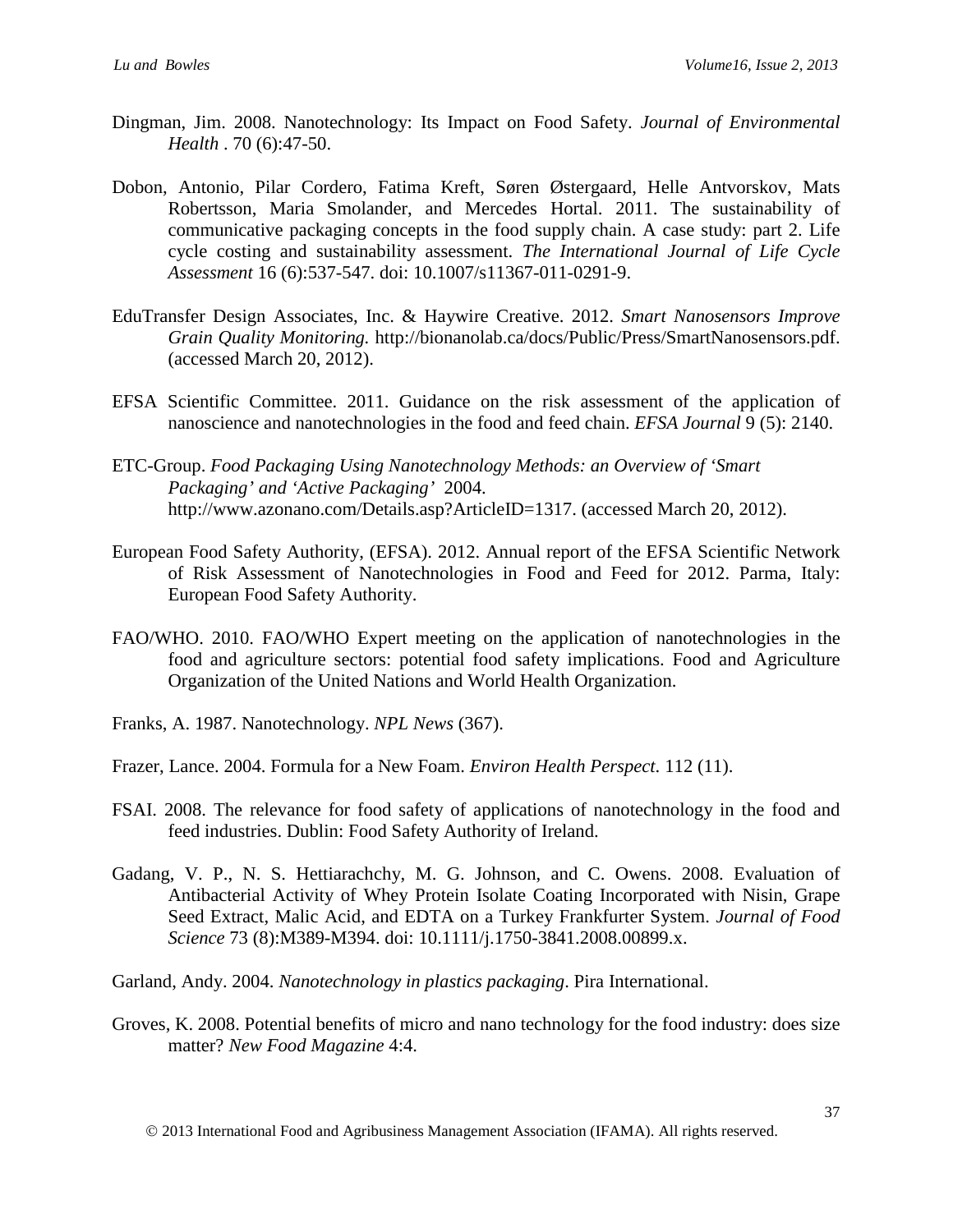- Dingman, Jim. 2008. Nanotechnology: Its Impact on Food Safety. *Journal of Environmental Health* . 70 (6):47-50.
- Dobon, Antonio, Pilar Cordero, Fatima Kreft, Søren Østergaard, Helle Antvorskov, Mats Robertsson, Maria Smolander, and Mercedes Hortal. 2011. The sustainability of communicative packaging concepts in the food supply chain. A case study: part 2. Life cycle costing and sustainability assessment. *The International Journal of Life Cycle Assessment* 16 (6):537-547. doi: 10.1007/s11367-011-0291-9.
- EduTransfer Design Associates, Inc. & Haywire Creative. 2012. *Smart Nanosensors Improve Grain Quality Monitoring.* http://bionanolab.ca/docs/Public/Press/SmartNanosensors.pdf. (accessed March 20, 2012).
- EFSA Scientific Committee. 2011. Guidance on the risk assessment of the application of nanoscience and nanotechnologies in the food and feed chain. *EFSA Journal* 9 (5): 2140.
- ETC-Group. *Food Packaging Using Nanotechnology Methods: an Overview of 'Smart Packaging' and 'Active Packaging'* 2004. http://www.azonano.com/Details.asp?ArticleID=1317. (accessed March 20, 2012).
- European Food Safety Authority, (EFSA). 2012. Annual report of the EFSA Scientific Network of Risk Assessment of Nanotechnologies in Food and Feed for 2012. Parma, Italy: European Food Safety Authority.
- FAO/WHO. 2010. FAO/WHO Expert meeting on the application of nanotechnologies in the food and agriculture sectors: potential food safety implications. Food and Agriculture Organization of the United Nations and World Health Organization.
- Franks, A. 1987. Nanotechnology. *NPL News* (367).
- Frazer, Lance. 2004. Formula for a New Foam. *Environ Health Perspect*. 112 (11).
- FSAI. 2008. The relevance for food safety of applications of nanotechnology in the food and feed industries. Dublin: Food Safety Authority of Ireland.
- Gadang, V. P., N. S. Hettiarachchy, M. G. Johnson, and C. Owens. 2008. Evaluation of Antibacterial Activity of Whey Protein Isolate Coating Incorporated with Nisin, Grape Seed Extract, Malic Acid, and EDTA on a Turkey Frankfurter System. *Journal of Food Science* 73 (8):M389-M394. doi: 10.1111/j.1750-3841.2008.00899.x.

Garland, Andy. 2004. *Nanotechnology in plastics packaging*. Pira International.

Groves, K. 2008. Potential benefits of micro and nano technology for the food industry: does size matter? *New Food Magazine* 4:4.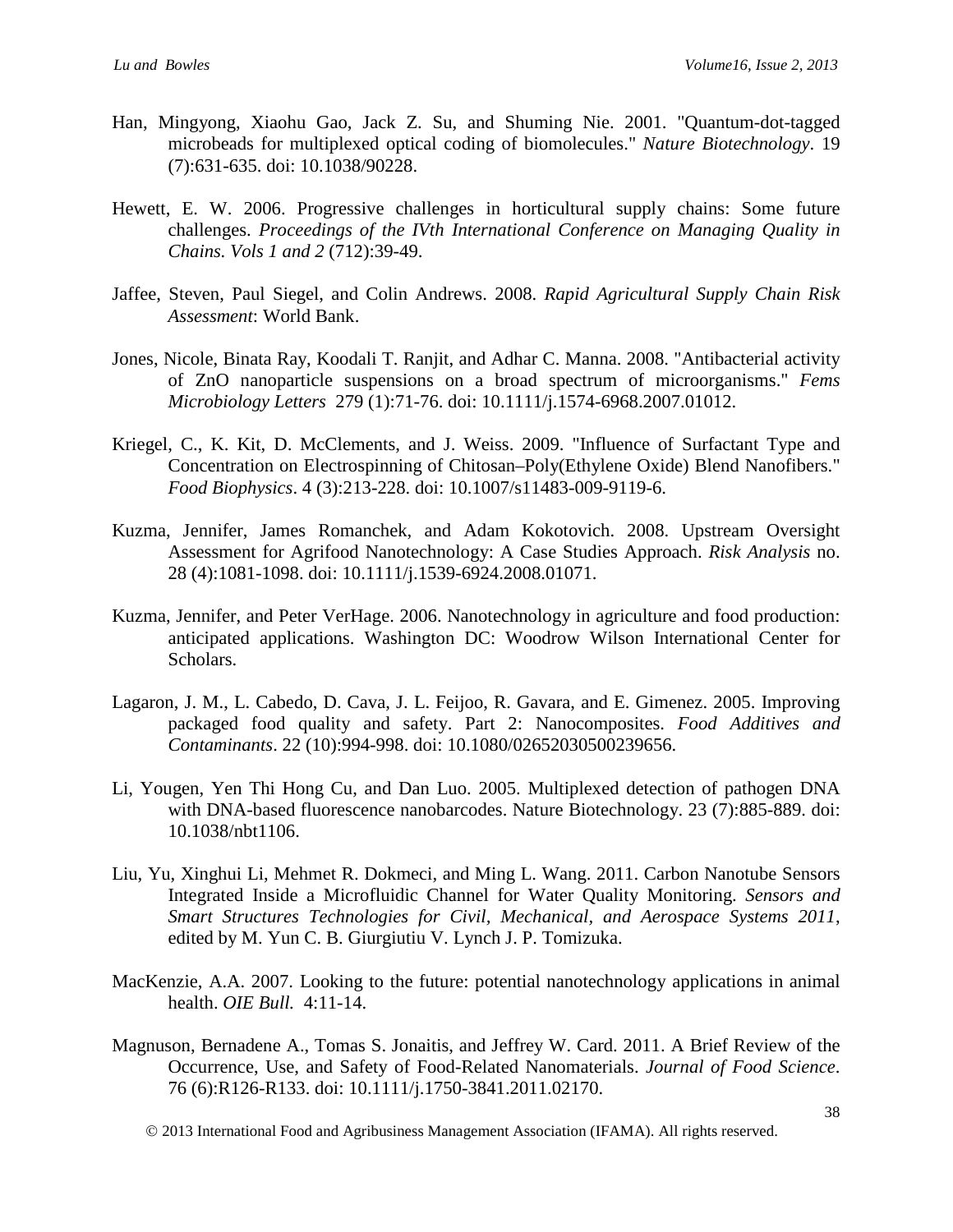- Han, Mingyong, Xiaohu Gao, Jack Z. Su, and Shuming Nie. 2001. "Quantum-dot-tagged microbeads for multiplexed optical coding of biomolecules." *Nature Biotechnology*. 19 (7):631-635. doi: 10.1038/90228.
- Hewett, E. W. 2006. Progressive challenges in horticultural supply chains: Some future challenges. *Proceedings of the IVth International Conference on Managing Quality in Chains. Vols 1 and 2* (712):39-49.
- Jaffee, Steven, Paul Siegel, and Colin Andrews. 2008. *Rapid Agricultural Supply Chain Risk Assessment*: World Bank.
- Jones, Nicole, Binata Ray, Koodali T. Ranjit, and Adhar C. Manna. 2008. "Antibacterial activity of ZnO nanoparticle suspensions on a broad spectrum of microorganisms." *Fems Microbiology Letters* 279 (1):71-76. doi: 10.1111/j.1574-6968.2007.01012.
- Kriegel, C., K. Kit, D. McClements, and J. Weiss. 2009. "Influence of Surfactant Type and Concentration on Electrospinning of Chitosan–Poly(Ethylene Oxide) Blend Nanofibers." *Food Biophysics*. 4 (3):213-228. doi: 10.1007/s11483-009-9119-6.
- Kuzma, Jennifer, James Romanchek, and Adam Kokotovich. 2008. Upstream Oversight Assessment for Agrifood Nanotechnology: A Case Studies Approach. *Risk Analysis* no. 28 (4):1081-1098. doi: 10.1111/j.1539-6924.2008.01071.
- Kuzma, Jennifer, and Peter VerHage. 2006. Nanotechnology in agriculture and food production: anticipated applications. Washington DC: Woodrow Wilson International Center for Scholars.
- Lagaron, J. M., L. Cabedo, D. Cava, J. L. Feijoo, R. Gavara, and E. Gimenez. 2005. Improving packaged food quality and safety. Part 2: Nanocomposites. *Food Additives and Contaminants*. 22 (10):994-998. doi: 10.1080/02652030500239656.
- Li, Yougen, Yen Thi Hong Cu, and Dan Luo. 2005. Multiplexed detection of pathogen DNA with DNA-based fluorescence nanobarcodes. Nature Biotechnology. 23 (7):885-889. doi: 10.1038/nbt1106.
- Liu, Yu, Xinghui Li, Mehmet R. Dokmeci, and Ming L. Wang. 2011. Carbon Nanotube Sensors Integrated Inside a Microfluidic Channel for Water Quality Monitoring. *Sensors and Smart Structures Technologies for Civil, Mechanical, and Aerospace Systems 2011*, edited by M. Yun C. B. Giurgiutiu V. Lynch J. P. Tomizuka.
- MacKenzie, A.A. 2007. Looking to the future: potential nanotechnology applications in animal health. *OIE Bull.* 4:11-14.
- Magnuson, Bernadene A., Tomas S. Jonaitis, and Jeffrey W. Card. 2011. A Brief Review of the Occurrence, Use, and Safety of Food-Related Nanomaterials. *Journal of Food Science*. 76 (6):R126-R133. doi: 10.1111/j.1750-3841.2011.02170.
	- 2013 International Food and Agribusiness Management Association (IFAMA). All rights reserved.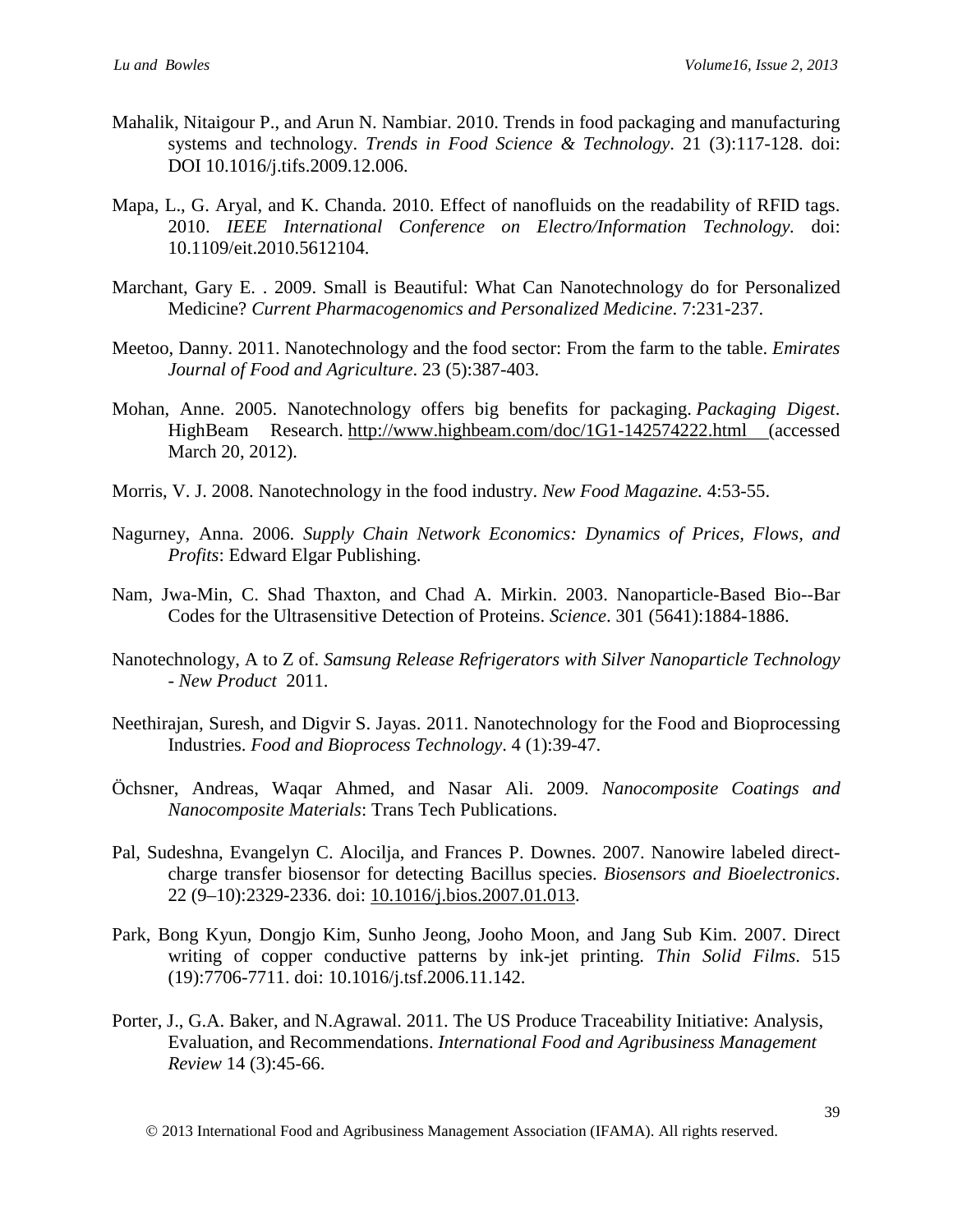- Mahalik, Nitaigour P., and Arun N. Nambiar. 2010. Trends in food packaging and manufacturing systems and technology. *Trends in Food Science & Technology*. 21 (3):117-128. doi: DOI 10.1016/j.tifs.2009.12.006.
- Mapa, L., G. Aryal, and K. Chanda. 2010. Effect of nanofluids on the readability of RFID tags. 2010. *IEEE International Conference on Electro/Information Technology.* doi: 10.1109/eit.2010.5612104.
- Marchant, Gary E. . 2009. Small is Beautiful: What Can Nanotechnology do for Personalized Medicine? *Current Pharmacogenomics and Personalized Medicine*. 7:231-237.
- Meetoo, Danny. 2011. Nanotechnology and the food sector: From the farm to the table. *Emirates Journal of Food and Agriculture*. 23 (5):387-403.
- Mohan, Anne. 2005. Nanotechnology offers big benefits for packaging. *Packaging Digest*. HighBeam Research. <http://www.highbeam.com/doc/1G1-142574222.html> (accessed March 20, 2012).
- Morris, V. J. 2008. Nanotechnology in the food industry. *New Food Magazine.* 4:53-55.
- Nagurney, Anna. 2006. *Supply Chain Network Economics: Dynamics of Prices, Flows, and Profits*: Edward Elgar Publishing.
- Nam, Jwa-Min, C. Shad Thaxton, and Chad A. Mirkin. 2003. Nanoparticle-Based Bio--Bar Codes for the Ultrasensitive Detection of Proteins. *Science*. 301 (5641):1884-1886.
- Nanotechnology, A to Z of. *Samsung Release Refrigerators with Silver Nanoparticle Technology - New Product* 2011.
- Neethirajan, Suresh, and Digvir S. Jayas. 2011. Nanotechnology for the Food and Bioprocessing Industries. *Food and Bioprocess Technology*. 4 (1):39-47.
- Öchsner, Andreas, Waqar Ahmed, and Nasar Ali. 2009. *Nanocomposite Coatings and Nanocomposite Materials*: Trans Tech Publications.
- Pal, Sudeshna, Evangelyn C. Alocilja, and Frances P. Downes. 2007. Nanowire labeled directcharge transfer biosensor for detecting Bacillus species. *Biosensors and Bioelectronics*. 22 (9–10):2329-2336. doi: 10.1016/j.bios.2007.01.013.
- Park, Bong Kyun, Dongjo Kim, Sunho Jeong, Jooho Moon, and Jang Sub Kim. 2007. Direct writing of copper conductive patterns by ink-jet printing. *Thin Solid Films*. 515 (19):7706-7711. doi: 10.1016/j.tsf.2006.11.142.
- Porter, J., G.A. Baker, and N.Agrawal. 2011. The US Produce Traceability Initiative: Analysis, Evaluation, and Recommendations. *International Food and Agribusiness Management Review* 14 (3):45-66.

2013 International Food and Agribusiness Management Association (IFAMA). All rights reserved.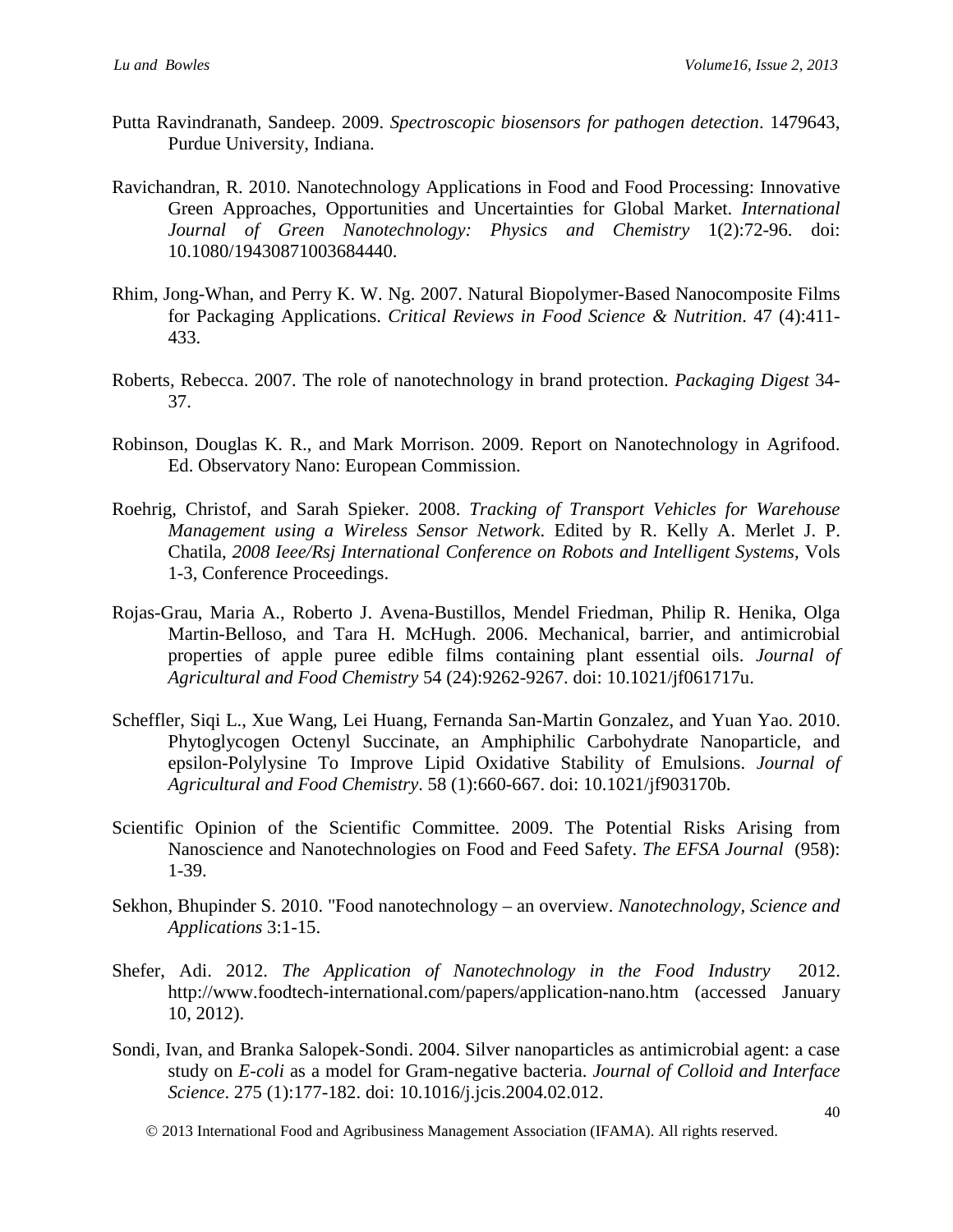- Putta Ravindranath, Sandeep. 2009. *Spectroscopic biosensors for pathogen detection*. 1479643, Purdue University, Indiana.
- Ravichandran, R. 2010. Nanotechnology Applications in Food and Food Processing: Innovative Green Approaches, Opportunities and Uncertainties for Global Market. *International Journal of Green Nanotechnology: Physics and Chemistry* 1(2):72-96. doi: 10.1080/19430871003684440.
- Rhim, Jong-Whan, and Perry K. W. Ng. 2007. Natural Biopolymer-Based Nanocomposite Films for Packaging Applications. *Critical Reviews in Food Science & Nutrition*. 47 (4):411- 433.
- Roberts, Rebecca. 2007. The role of nanotechnology in brand protection. *Packaging Digest* 34- 37.
- Robinson, Douglas K. R., and Mark Morrison. 2009. Report on Nanotechnology in Agrifood. Ed. Observatory Nano: European Commission.
- Roehrig, Christof, and Sarah Spieker. 2008. *Tracking of Transport Vehicles for Warehouse Management using a Wireless Sensor Network*. Edited by R. Kelly A. Merlet J. P. Chatila, *2008 Ieee/Rsj International Conference on Robots and Intelligent Systems,* Vols 1-3, Conference Proceedings.
- Rojas-Grau, Maria A., Roberto J. Avena-Bustillos, Mendel Friedman, Philip R. Henika, Olga Martin-Belloso, and Tara H. McHugh. 2006. Mechanical, barrier, and antimicrobial properties of apple puree edible films containing plant essential oils. *Journal of Agricultural and Food Chemistry* 54 (24):9262-9267. doi: 10.1021/jf061717u.
- Scheffler, Siqi L., Xue Wang, Lei Huang, Fernanda San-Martin Gonzalez, and Yuan Yao. 2010. Phytoglycogen Octenyl Succinate, an Amphiphilic Carbohydrate Nanoparticle, and epsilon-Polylysine To Improve Lipid Oxidative Stability of Emulsions. *Journal of Agricultural and Food Chemistry*. 58 (1):660-667. doi: 10.1021/jf903170b.
- Scientific Opinion of the Scientific Committee. 2009. The Potential Risks Arising from Nanoscience and Nanotechnologies on Food and Feed Safety. *The EFSA Journal* (958): 1-39.
- Sekhon, Bhupinder S. 2010. "Food nanotechnology an overview. *Nanotechnology, Science and Applications* 3:1-15.
- Shefer, Adi. 2012. *The Application of Nanotechnology in the Food Industry* 2012. <http://www.foodtech-international.com/papers/application-nano.htm> (accessed January 10, 2012).
- Sondi, Ivan, and Branka Salopek-Sondi. 2004. Silver nanoparticles as antimicrobial agent: a case study on *E-coli* as a model for Gram-negative bacteria. *Journal of Colloid and Interface Science*. 275 (1):177-182. doi: 10.1016/j.jcis.2004.02.012.
	- 2013 International Food and Agribusiness Management Association (IFAMA). All rights reserved.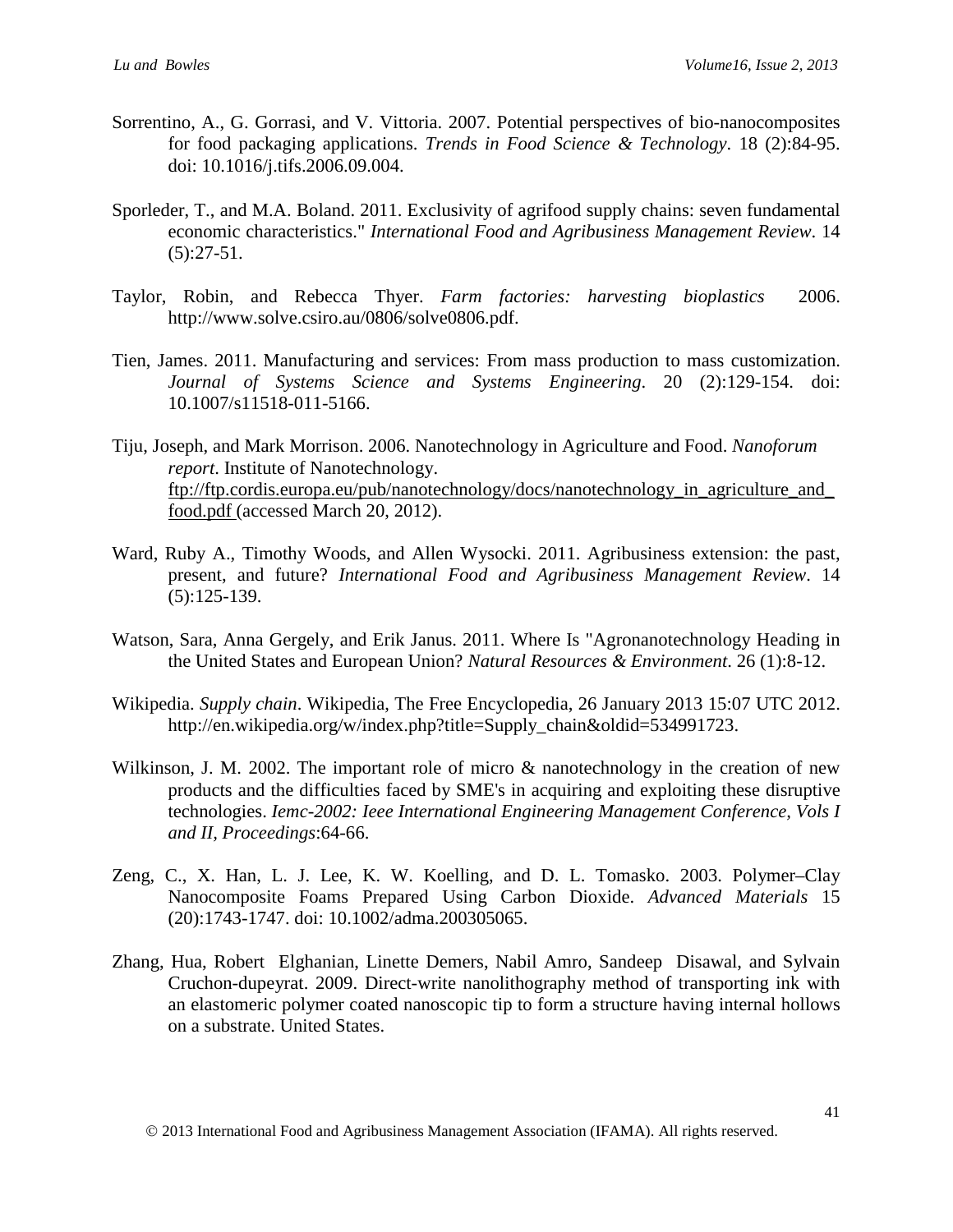- Sorrentino, A., G. Gorrasi, and V. Vittoria. 2007. Potential perspectives of bio-nanocomposites for food packaging applications. *Trends in Food Science & Technology*. 18 (2):84-95. doi: 10.1016/j.tifs.2006.09.004.
- Sporleder, T., and M.A. Boland. 2011. Exclusivity of agrifood supply chains: seven fundamental economic characteristics." *International Food and Agribusiness Management Review*. 14  $(5):27-51.$
- Taylor, Robin, and Rebecca Thyer. *Farm factories: harvesting bioplastics* 2006. [http://www.solve.csiro.au/0806/solve0806.pdf.](http://www.solve.csiro.au/0806/solve0806.pdf)
- Tien, James. 2011. Manufacturing and services: From mass production to mass customization. *Journal of Systems Science and Systems Engineering*. 20 (2):129-154. doi: 10.1007/s11518-011-5166.
- Tiju, Joseph, and Mark Morrison. 2006. Nanotechnology in Agriculture and Food. *Nanoforum report*. Institute of Nanotechnology. ftp://ftp.cordis.europa.eu/pub/nanotechnology/docs/nanotechnology\_in\_agriculture\_and\_ food.pdf (accessed March 20, 2012).
- Ward, Ruby A., Timothy Woods, and Allen Wysocki. 2011. Agribusiness extension: the past, present, and future? *International Food and Agribusiness Management Review*. 14 (5):125-139.
- Watson, Sara, Anna Gergely, and Erik Janus. 2011. Where Is "Agronanotechnology Heading in the United States and European Union? *Natural Resources & Environment*. 26 (1):8-12.
- Wikipedia. *Supply chain*. Wikipedia, The Free Encyclopedia, 26 January 2013 15:07 UTC 2012. [http://en.wikipedia.org/w/index.php?title=Supply\\_chain&oldid=534991723.](http://en.wikipedia.org/w/index.php?title=Supply_chain&oldid=534991723)
- Wilkinson, J. M. 2002. The important role of micro  $\&$  nanotechnology in the creation of new products and the difficulties faced by SME's in acquiring and exploiting these disruptive technologies. *Iemc-2002: Ieee International Engineering Management Conference, Vols I and II, Proceedings*:64-66.
- Zeng, C., X. Han, L. J. Lee, K. W. Koelling, and D. L. Tomasko. 2003. Polymer–Clay Nanocomposite Foams Prepared Using Carbon Dioxide. *Advanced Materials* 15 (20):1743-1747. doi: 10.1002/adma.200305065.
- Zhang, Hua, Robert Elghanian, Linette Demers, Nabil Amro, Sandeep Disawal, and Sylvain Cruchon-dupeyrat. 2009. Direct-write nanolithography method of transporting ink with an elastomeric polymer coated nanoscopic tip to form a structure having internal hollows on a substrate. United States.